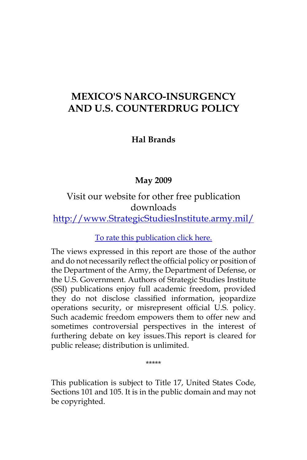# **MEXICO'S NARCO-INSURGENCY AND U.S. COUNTERDRUG POLICY**

## **Hal Brands**

# **May 2009**

# Visit our website for other free publication downloads

# [http://www.StrategicStudiesInstitute.army.mil/](http://www.StrategicStudiesInstitute.army.mil)

### [To rate this publication click here.](http://www.strategicstudiesinstitute.army.mil/pubs/display.cfm?pubID=918)

The views expressed in this report are those of the author and do not necessarily reflect the official policy or position of the Department of the Army, the Department of Defense, or the U.S. Government. Authors of Strategic Studies Institute (SSI) publications enjoy full academic freedom, provided they do not disclose classified information, jeopardize operations security, or misrepresent official U.S. policy. Such academic freedom empowers them to offer new and sometimes controversial perspectives in the interest of furthering debate on key issues.This report is cleared for public release; distribution is unlimited.

\*\*\*\*\*

This publication is subject to Title 17, United States Code, Sections 101 and 105. It is in the public domain and may not be copyrighted.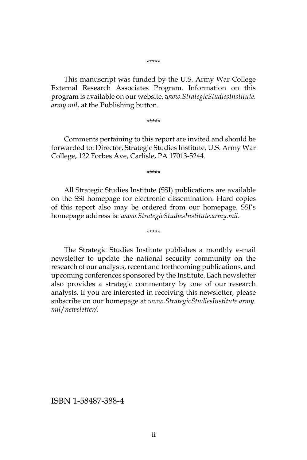\*\*\*\*\*

This manuscript was funded by the U.S. Army War College External Research Associates Program. Information on this program is available on our website, *www.StrategicStudiesInstitute. army.mil*, at the Publishing button.

\*\*\*\*\*

Comments pertaining to this report are invited and should be forwarded to: Director, Strategic Studies Institute, U.S. Army War College, 122 Forbes Ave, Carlisle, PA 17013-5244.

\*\*\*\*\*

All Strategic Studies Institute (SSI) publications are available on the SSI homepage for electronic dissemination. Hard copies of this report also may be ordered from our homepage. SSI's homepage address is: *www.StrategicStudiesInstitute.army.mil*.

\*\*\*\*\*

The Strategic Studies Institute publishes a monthly e-mail newsletter to update the national security community on the research of our analysts, recent and forthcoming publications, and upcoming conferences sponsored by the Institute. Each newsletter also provides a strategic commentary by one of our research analysts. If you are interested in receiving this newsletter, please subscribe on our homepage at *www.StrategicStudiesInstitute.army. mil*/*newsletter/.*

ISBN 1-58487-388-4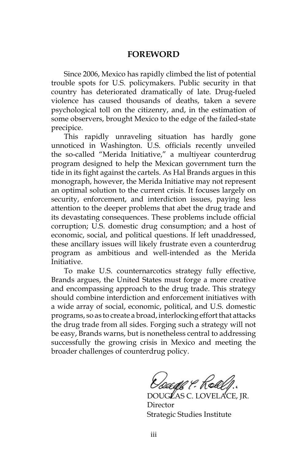#### **FOREWORD**

Since 2006, Mexico has rapidly climbed the list of potential trouble spots for U.S. policymakers. Public security in that country has deteriorated dramatically of late. Drug-fueled violence has caused thousands of deaths, taken a severe psychological toll on the citizenry, and, in the estimation of some observers, brought Mexico to the edge of the failed-state precipice.

This rapidly unraveling situation has hardly gone unnoticed in Washington. U.S. officials recently unveiled the so-called "Merida Initiative," a multiyear counterdrug program designed to help the Mexican government turn the tide in its fight against the cartels. As Hal Brands argues in this monograph, however, the Merida Initiative may not represent an optimal solution to the current crisis. It focuses largely on security, enforcement, and interdiction issues, paying less attention to the deeper problems that abet the drug trade and its devastating consequences. These problems include official corruption; U.S. domestic drug consumption; and a host of economic, social, and political questions. If left unaddressed, these ancillary issues will likely frustrate even a counterdrug program as ambitious and well-intended as the Merida Initiative.

To make U.S. counternarcotics strategy fully effective, Brands argues, the United States must forge a more creative and encompassing approach to the drug trade. This strategy should combine interdiction and enforcement initiatives with a wide array of social, economic, political, and U.S. domestic programs, so as to create a broad, interlocking effort that attacks the drug trade from all sides. Forging such a strategy will not be easy, Brands warns, but is nonetheless central to addressing successfully the growing crisis in Mexico and meeting the broader challenges of counterdrug policy.

Doage & Roae

DOUGLAS C. LOVELACE, JR. Director Strategic Studies Institute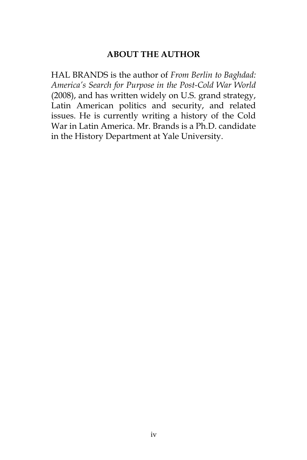#### **ABOUT THE AUTHOR**

HAL BRANDS is the author of *From Berlin to Baghdad: America's Search for Purpose in the Post-Cold War World*  (2008), and has written widely on U.S. grand strategy, Latin American politics and security, and related issues. He is currently writing a history of the Cold War in Latin America. Mr. Brands is a Ph.D. candidate in the History Department at Yale University.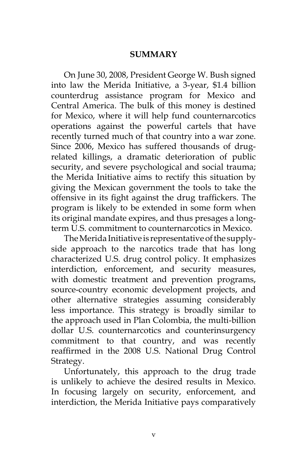#### **SUMMARY**

On June 30, 2008, President George W. Bush signed into law the Merida Initiative, a 3-year, \$1.4 billion counterdrug assistance program for Mexico and Central America. The bulk of this money is destined for Mexico, where it will help fund counternarcotics operations against the powerful cartels that have recently turned much of that country into a war zone. Since 2006, Mexico has suffered thousands of drugrelated killings, a dramatic deterioration of public security, and severe psychological and social trauma; the Merida Initiative aims to rectify this situation by giving the Mexican government the tools to take the offensive in its fight against the drug traffickers. The program is likely to be extended in some form when its original mandate expires, and thus presages a longterm U.S. commitment to counternarcotics in Mexico.

The Merida Initiative is representative of the supplyside approach to the narcotics trade that has long characterized U.S. drug control policy. It emphasizes interdiction, enforcement, and security measures, with domestic treatment and prevention programs, source-country economic development projects, and other alternative strategies assuming considerably less importance. This strategy is broadly similar to the approach used in Plan Colombia, the multi-billion dollar U.S. counternarcotics and counterinsurgency commitment to that country, and was recently reaffirmed in the 2008 U.S. National Drug Control Strategy.

Unfortunately, this approach to the drug trade is unlikely to achieve the desired results in Mexico. In focusing largely on security, enforcement, and interdiction, the Merida Initiative pays comparatively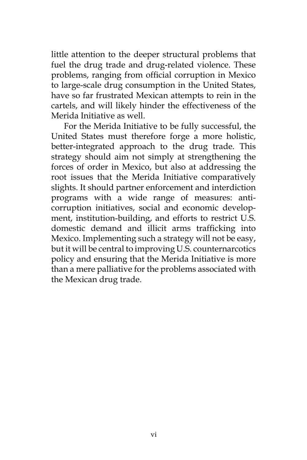little attention to the deeper structural problems that fuel the drug trade and drug-related violence. These problems, ranging from official corruption in Mexico to large-scale drug consumption in the United States, have so far frustrated Mexican attempts to rein in the cartels, and will likely hinder the effectiveness of the Merida Initiative as well.

For the Merida Initiative to be fully successful, the United States must therefore forge a more holistic, better-integrated approach to the drug trade. This strategy should aim not simply at strengthening the forces of order in Mexico, but also at addressing the root issues that the Merida Initiative comparatively slights. It should partner enforcement and interdiction programs with a wide range of measures: anticorruption initiatives, social and economic development, institution-building, and efforts to restrict U.S. domestic demand and illicit arms trafficking into Mexico. Implementing such a strategy will not be easy, but it will be central to improving U.S. counternarcotics policy and ensuring that the Merida Initiative is more than a mere palliative for the problems associated with the Mexican drug trade.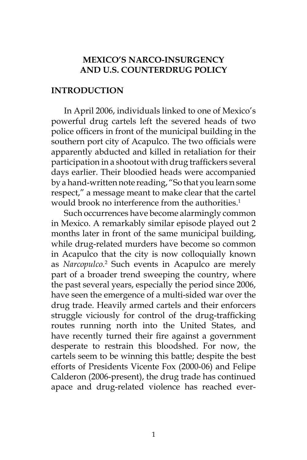#### **MEXICO'S NARCO-INSURGENCY AND U.S. COUNTERDRUG POLICY**

#### **INTRODUCTION**

In April 2006, individuals linked to one of Mexico's powerful drug cartels left the severed heads of two police officers in front of the municipal building in the southern port city of Acapulco. The two officials were apparently abducted and killed in retaliation for their participation in a shootout with drug traffickers several days earlier. Their bloodied heads were accompanied by a hand-written note reading, "So that you learn some respect," a message meant to make clear that the cartel would brook no interference from the authorities.<sup>1</sup>

Such occurrences have become alarmingly common in Mexico. A remarkably similar episode played out 2 months later in front of the same municipal building, while drug-related murders have become so common in Acapulco that the city is now colloquially known as *Narcopulco.*<sup>2</sup> Such events in Acapulco are merely part of a broader trend sweeping the country, where the past several years, especially the period since 2006, have seen the emergence of a multi-sided war over the drug trade. Heavily armed cartels and their enforcers struggle viciously for control of the drug-trafficking routes running north into the United States, and have recently turned their fire against a government desperate to restrain this bloodshed. For now, the cartels seem to be winning this battle; despite the best efforts of Presidents Vicente Fox (2000-06) and Felipe Calderon (2006-present), the drug trade has continued apace and drug-related violence has reached ever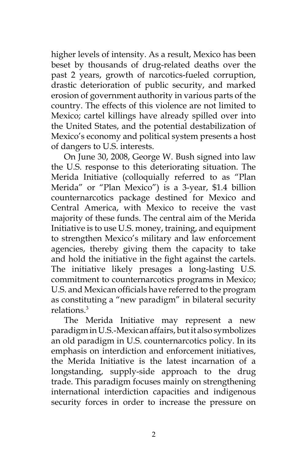higher levels of intensity. As a result, Mexico has been beset by thousands of drug-related deaths over the past 2 years, growth of narcotics-fueled corruption, drastic deterioration of public security, and marked erosion of government authority in various parts of the country. The effects of this violence are not limited to Mexico; cartel killings have already spilled over into the United States, and the potential destabilization of Mexico's economy and political system presents a host of dangers to U.S. interests.

On June 30, 2008, George W. Bush signed into law the U.S. response to this deteriorating situation. The Merida Initiative (colloquially referred to as "Plan Merida" or "Plan Mexico") is a 3-year, \$1.4 billion counternarcotics package destined for Mexico and Central America, with Mexico to receive the vast majority of these funds. The central aim of the Merida Initiative is to use U.S. money, training, and equipment to strengthen Mexico's military and law enforcement agencies, thereby giving them the capacity to take and hold the initiative in the fight against the cartels. The initiative likely presages a long-lasting U.S. commitment to counternarcotics programs in Mexico; U.S. and Mexican officials have referred to the program as constituting a "new paradigm" in bilateral security relations.3

The Merida Initiative may represent a new paradigm in U.S.-Mexican affairs, but it also symbolizes an old paradigm in U.S. counternarcotics policy. In its emphasis on interdiction and enforcement initiatives, the Merida Initiative is the latest incarnation of a longstanding, supply-side approach to the drug trade. This paradigm focuses mainly on strengthening international interdiction capacities and indigenous security forces in order to increase the pressure on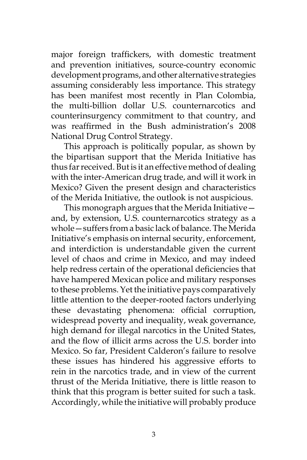major foreign traffickers, with domestic treatment and prevention initiatives, source-country economic development programs, and other alternative strategies assuming considerably less importance. This strategy has been manifest most recently in Plan Colombia, the multi-billion dollar U.S. counternarcotics and counterinsurgency commitment to that country, and was reaffirmed in the Bush administration's 2008 National Drug Control Strategy.

This approach is politically popular, as shown by the bipartisan support that the Merida Initiative has thus far received. But is it an effective method of dealing with the inter-American drug trade, and will it work in Mexico? Given the present design and characteristics of the Merida Initiative, the outlook is not auspicious.

This monograph argues that the Merida Initiative and, by extension, U.S. counternarcotics strategy as a whole—suffers from a basic lack of balance. The Merida Initiative's emphasis on internal security, enforcement, and interdiction is understandable given the current level of chaos and crime in Mexico, and may indeed help redress certain of the operational deficiencies that have hampered Mexican police and military responses to these problems. Yet the initiative pays comparatively little attention to the deeper-rooted factors underlying these devastating phenomena: official corruption, widespread poverty and inequality, weak governance, high demand for illegal narcotics in the United States, and the flow of illicit arms across the U.S. border into Mexico. So far, President Calderon's failure to resolve these issues has hindered his aggressive efforts to rein in the narcotics trade, and in view of the current thrust of the Merida Initiative, there is little reason to think that this program is better suited for such a task. Accordingly, while the initiative will probably produce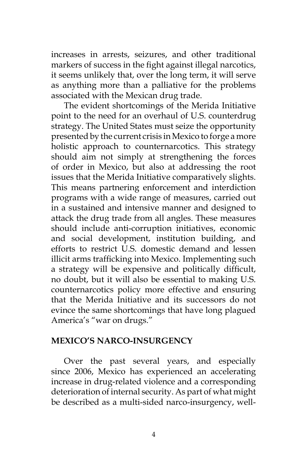increases in arrests, seizures, and other traditional markers of success in the fight against illegal narcotics, it seems unlikely that, over the long term, it will serve as anything more than a palliative for the problems associated with the Mexican drug trade.

The evident shortcomings of the Merida Initiative point to the need for an overhaul of U.S. counterdrug strategy. The United States must seize the opportunity presented by the current crisis in Mexico to forge a more holistic approach to counternarcotics. This strategy should aim not simply at strengthening the forces of order in Mexico, but also at addressing the root issues that the Merida Initiative comparatively slights. This means partnering enforcement and interdiction programs with a wide range of measures, carried out in a sustained and intensive manner and designed to attack the drug trade from all angles. These measures should include anti-corruption initiatives, economic and social development, institution building, and efforts to restrict U.S. domestic demand and lessen illicit arms trafficking into Mexico. Implementing such a strategy will be expensive and politically difficult, no doubt, but it will also be essential to making U.S. counternarcotics policy more effective and ensuring that the Merida Initiative and its successors do not evince the same shortcomings that have long plagued America's "war on drugs."

### **MEXICO'S NARCO-INSURGENCY**

Over the past several years, and especially since 2006, Mexico has experienced an accelerating increase in drug-related violence and a corresponding deterioration of internal security. As part of what might be described as a multi-sided narco-insurgency, well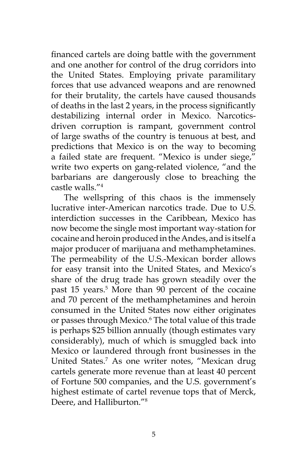financed cartels are doing battle with the government and one another for control of the drug corridors into the United States. Employing private paramilitary forces that use advanced weapons and are renowned for their brutality, the cartels have caused thousands of deaths in the last 2 years, in the process significantly destabilizing internal order in Mexico. Narcoticsdriven corruption is rampant, government control of large swaths of the country is tenuous at best, and predictions that Mexico is on the way to becoming a failed state are frequent. "Mexico is under siege," write two experts on gang-related violence, "and the barbarians are dangerously close to breaching the castle walls."4

The wellspring of this chaos is the immensely lucrative inter-American narcotics trade. Due to U.S. interdiction successes in the Caribbean, Mexico has now become the single most important way-station for cocaine and heroin produced in the Andes, and is itself a major producer of marijuana and methamphetamines. The permeability of the U.S.-Mexican border allows for easy transit into the United States, and Mexico's share of the drug trade has grown steadily over the past 15 years.<sup>5</sup> More than 90 percent of the cocaine and 70 percent of the methamphetamines and heroin consumed in the United States now either originates or passes through Mexico.<sup>6</sup> The total value of this trade is perhaps \$25 billion annually (though estimates vary considerably), much of which is smuggled back into Mexico or laundered through front businesses in the United States.7 As one writer notes, "Mexican drug cartels generate more revenue than at least 40 percent of Fortune 500 companies, and the U.S. government's highest estimate of cartel revenue tops that of Merck, Deere, and Halliburton."8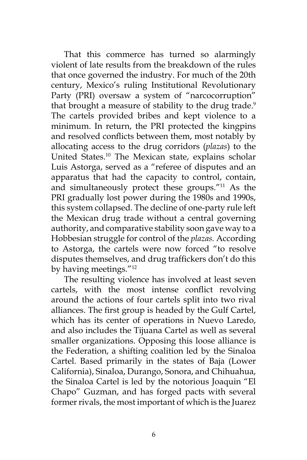That this commerce has turned so alarmingly violent of late results from the breakdown of the rules that once governed the industry. For much of the 20th century, Mexico's ruling Institutional Revolutionary Party (PRI) oversaw a system of "narcocorruption" that brought a measure of stability to the drug trade.<sup>9</sup> The cartels provided bribes and kept violence to a minimum. In return, the PRI protected the kingpins and resolved conflicts between them, most notably by allocating access to the drug corridors (*plazas*) to the United States.10 The Mexican state, explains scholar Luis Astorga, served as a "referee of disputes and an apparatus that had the capacity to control, contain, and simultaneously protect these groups."11 As the PRI gradually lost power during the 1980s and 1990s, this system collapsed. The decline of one-party rule left the Mexican drug trade without a central governing authority, and comparative stability soon gave way to a Hobbesian struggle for control of the *plazas.* According to Astorga, the cartels were now forced "to resolve disputes themselves, and drug traffickers don't do this by having meetings."12

The resulting violence has involved at least seven cartels, with the most intense conflict revolving around the actions of four cartels split into two rival alliances. The first group is headed by the Gulf Cartel, which has its center of operations in Nuevo Laredo, and also includes the Tijuana Cartel as well as several smaller organizations. Opposing this loose alliance is the Federation, a shifting coalition led by the Sinaloa Cartel. Based primarily in the states of Baja (Lower California), Sinaloa, Durango, Sonora, and Chihuahua, the Sinaloa Cartel is led by the notorious Joaquin "El Chapo" Guzman, and has forged pacts with several former rivals, the most important of which is the Juarez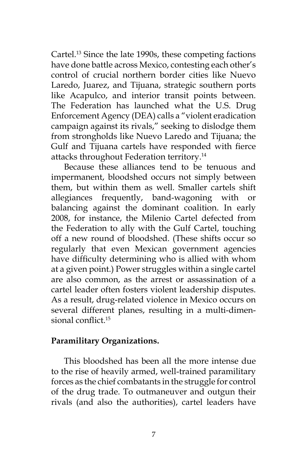Cartel.13 Since the late 1990s, these competing factions have done battle across Mexico, contesting each other's control of crucial northern border cities like Nuevo Laredo, Juarez, and Tijuana, strategic southern ports like Acapulco, and interior transit points between. The Federation has launched what the U.S. Drug Enforcement Agency (DEA) calls a "violent eradication campaign against its rivals," seeking to dislodge them from strongholds like Nuevo Laredo and Tijuana; the Gulf and Tijuana cartels have responded with fierce attacks throughout Federation territory.14

Because these alliances tend to be tenuous and impermanent, bloodshed occurs not simply between them, but within them as well. Smaller cartels shift allegiances frequently, band-wagoning with or balancing against the dominant coalition. In early 2008, for instance, the Milenio Cartel defected from the Federation to ally with the Gulf Cartel, touching off a new round of bloodshed. (These shifts occur so regularly that even Mexican government agencies have difficulty determining who is allied with whom at a given point.) Power struggles within a single cartel are also common, as the arrest or assassination of a cartel leader often fosters violent leadership disputes. As a result, drug-related violence in Mexico occurs on several different planes, resulting in a multi-dimensional conflict.<sup>15</sup>

### **Paramilitary Organizations.**

This bloodshed has been all the more intense due to the rise of heavily armed, well-trained paramilitary forces as the chief combatants in the struggle for control of the drug trade. To outmaneuver and outgun their rivals (and also the authorities), cartel leaders have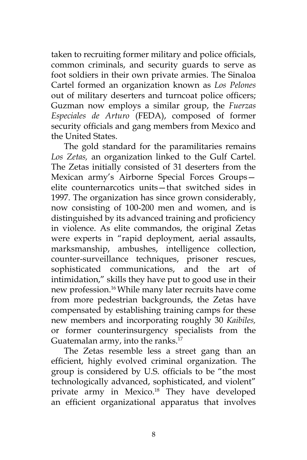taken to recruiting former military and police officials, common criminals, and security guards to serve as foot soldiers in their own private armies. The Sinaloa Cartel formed an organization known as *Los Pelones*  out of military deserters and turncoat police officers; Guzman now employs a similar group, the *Fuerzas Especiales de Arturo* (FEDA), composed of former security officials and gang members from Mexico and the United States.

The gold standard for the paramilitaries remains *Los Zetas,* an organization linked to the Gulf Cartel. The Zetas initially consisted of 31 deserters from the Mexican army's Airborne Special Forces Groups elite counternarcotics units—that switched sides in 1997. The organization has since grown considerably, now consisting of 100-200 men and women, and is distinguished by its advanced training and proficiency in violence. As elite commandos, the original Zetas were experts in "rapid deployment, aerial assaults, marksmanship, ambushes, intelligence collection, counter-surveillance techniques, prisoner rescues, sophisticated communications, and the art of intimidation," skills they have put to good use in their new profession.16 While many later recruits have come from more pedestrian backgrounds, the Zetas have compensated by establishing training camps for these new members and incorporating roughly 30 *Kaibiles,*  or former counterinsurgency specialists from the Guatemalan army, into the ranks.<sup>17</sup>

The Zetas resemble less a street gang than an efficient, highly evolved criminal organization. The group is considered by U.S. officials to be "the most technologically advanced, sophisticated, and violent" private army in Mexico.<sup>18</sup> They have developed an efficient organizational apparatus that involves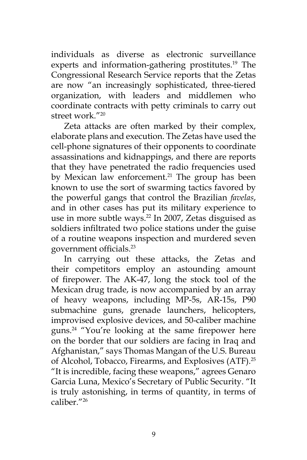individuals as diverse as electronic surveillance experts and information-gathering prostitutes.<sup>19</sup> The Congressional Research Service reports that the Zetas are now "an increasingly sophisticated, three-tiered organization, with leaders and middlemen who coordinate contracts with petty criminals to carry out street work."20

Zeta attacks are often marked by their complex, elaborate plans and execution. The Zetas have used the cell-phone signatures of their opponents to coordinate assassinations and kidnappings, and there are reports that they have penetrated the radio frequencies used by Mexican law enforcement.<sup>21</sup> The group has been known to use the sort of swarming tactics favored by the powerful gangs that control the Brazilian *favelas*, and in other cases has put its military experience to use in more subtle ways.<sup>22</sup> In 2007, Zetas disguised as soldiers infiltrated two police stations under the guise of a routine weapons inspection and murdered seven government officials.<sup>23</sup>

In carrying out these attacks, the Zetas and their competitors employ an astounding amount of firepower. The AK-47, long the stock tool of the Mexican drug trade, is now accompanied by an array of heavy weapons, including MP-5s, AR-15s, P90 submachine guns, grenade launchers, helicopters, improvised explosive devices, and 50-caliber machine guns.<sup>24</sup> "You're looking at the same firepower here on the border that our soldiers are facing in Iraq and Afghanistan," says Thomas Mangan of the U.S. Bureau of Alcohol, Tobacco, Firearms, and Explosives (ATF).<sup>25</sup> "It is incredible, facing these weapons," agrees Genaro Garcia Luna, Mexico's Secretary of Public Security. "It is truly astonishing, in terms of quantity, in terms of caliber<sup>"26</sup>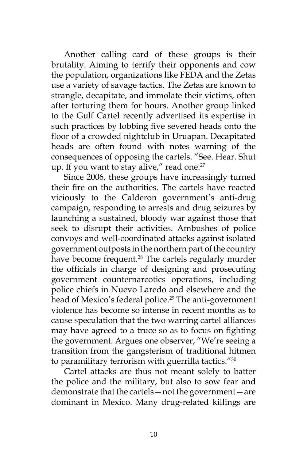Another calling card of these groups is their brutality. Aiming to terrify their opponents and cow the population, organizations like FEDA and the Zetas use a variety of savage tactics. The Zetas are known to strangle, decapitate, and immolate their victims, often after torturing them for hours. Another group linked to the Gulf Cartel recently advertised its expertise in such practices by lobbing five severed heads onto the floor of a crowded nightclub in Uruapan. Decapitated heads are often found with notes warning of the consequences of opposing the cartels. "See. Hear. Shut up. If you want to stay alive," read one. $27$ 

Since 2006, these groups have increasingly turned their fire on the authorities. The cartels have reacted viciously to the Calderon government's anti-drug campaign, responding to arrests and drug seizures by launching a sustained, bloody war against those that seek to disrupt their activities. Ambushes of police convoys and well-coordinated attacks against isolated government outposts in the northern part of the country have become frequent.<sup>28</sup> The cartels regularly murder the officials in charge of designing and prosecuting government counternarcotics operations, including police chiefs in Nuevo Laredo and elsewhere and the head of Mexico's federal police.<sup>29</sup> The anti-government violence has become so intense in recent months as to cause speculation that the two warring cartel alliances may have agreed to a truce so as to focus on fighting the government. Argues one observer, "We're seeing a transition from the gangsterism of traditional hitmen to paramilitary terrorism with guerrilla tactics."30

Cartel attacks are thus not meant solely to batter the police and the military, but also to sow fear and demonstrate that the cartels—not the government—are dominant in Mexico. Many drug-related killings are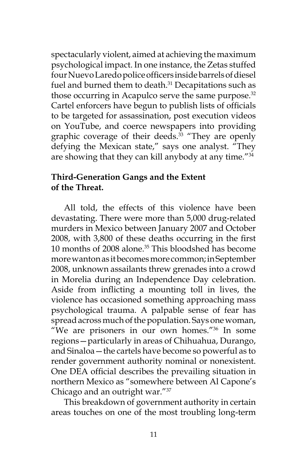spectacularly violent, aimed at achieving the maximum psychological impact. In one instance, the Zetas stuffed four Nuevo Laredo police officers inside barrels of diesel fuel and burned them to death. $31$  Decapitations such as those occurring in Acapulco serve the same purpose.<sup>32</sup> Cartel enforcers have begun to publish lists of officials to be targeted for assassination, post execution videos on YouTube, and coerce newspapers into providing graphic coverage of their deeds.<sup>33</sup> "They are openly defying the Mexican state," says one analyst. "They are showing that they can kill anybody at any time."34

### **Third-Generation Gangs and the Extent of the Threat.**

All told, the effects of this violence have been devastating. There were more than 5,000 drug-related murders in Mexico between January 2007 and October 2008, with 3,800 of these deaths occurring in the first 10 months of 2008 alone.<sup>35</sup> This bloodshed has become more wanton as it becomes more common; in September 2008, unknown assailants threw grenades into a crowd in Morelia during an Independence Day celebration. Aside from inflicting a mounting toll in lives, the violence has occasioned something approaching mass psychological trauma. A palpable sense of fear has spread across much of the population. Says one woman, "We are prisoners in our own homes."36 In some regions—particularly in areas of Chihuahua, Durango, and Sinaloa—the cartels have become so powerful as to render government authority nominal or nonexistent. One DEA official describes the prevailing situation in northern Mexico as "somewhere between Al Capone's Chicago and an outright war."37

This breakdown of government authority in certain areas touches on one of the most troubling long-term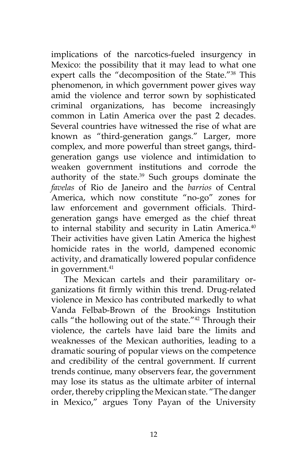implications of the narcotics-fueled insurgency in Mexico: the possibility that it may lead to what one expert calls the "decomposition of the State."<sup>38</sup> This phenomenon, in which government power gives way amid the violence and terror sown by sophisticated criminal organizations, has become increasingly common in Latin America over the past 2 decades. Several countries have witnessed the rise of what are known as "third-generation gangs." Larger, more complex, and more powerful than street gangs, thirdgeneration gangs use violence and intimidation to weaken government institutions and corrode the authority of the state.<sup>39</sup> Such groups dominate the *favelas* of Rio de Janeiro and the *barrios* of Central America, which now constitute "no-go" zones for law enforcement and government officials. Thirdgeneration gangs have emerged as the chief threat to internal stability and security in Latin America.<sup>40</sup> Their activities have given Latin America the highest homicide rates in the world, dampened economic activity, and dramatically lowered popular confidence in government.<sup>41</sup>

The Mexican cartels and their paramilitary organizations fit firmly within this trend. Drug-related violence in Mexico has contributed markedly to what Vanda Felbab-Brown of the Brookings Institution calls "the hollowing out of the state."<sup>42</sup> Through their violence, the cartels have laid bare the limits and weaknesses of the Mexican authorities, leading to a dramatic souring of popular views on the competence and credibility of the central government. If current trends continue, many observers fear, the government may lose its status as the ultimate arbiter of internal order, thereby crippling the Mexican state. "The danger in Mexico," argues Tony Payan of the University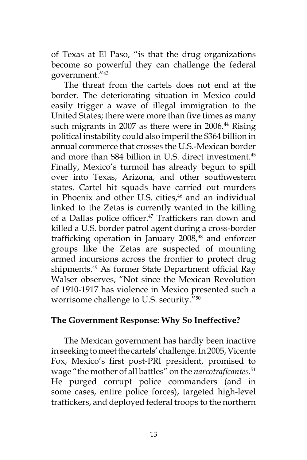of Texas at El Paso, "is that the drug organizations become so powerful they can challenge the federal government."43

The threat from the cartels does not end at the border. The deteriorating situation in Mexico could easily trigger a wave of illegal immigration to the United States; there were more than five times as many such migrants in 2007 as there were in 2006.<sup>44</sup> Rising political instability could also imperil the \$364 billion in annual commerce that crosses the U.S.-Mexican border and more than \$84 billion in U.S. direct investment.<sup>45</sup> Finally, Mexico's turmoil has already begun to spill over into Texas, Arizona, and other southwestern states. Cartel hit squads have carried out murders in Phoenix and other U.S. cities,<sup>46</sup> and an individual linked to the Zetas is currently wanted in the killing of a Dallas police officer.<sup>47</sup> Traffickers ran down and killed a U.S. border patrol agent during a cross-border trafficking operation in January 2008,<sup>48</sup> and enforcer groups like the Zetas are suspected of mounting armed incursions across the frontier to protect drug shipments.<sup>49</sup> As former State Department official Ray Walser observes, "Not since the Mexican Revolution of 1910-1917 has violence in Mexico presented such a worrisome challenge to U.S. security."50

### **The Government Response: Why So Ineffective?**

The Mexican government has hardly been inactive in seeking to meet the cartels' challenge. In 2005, Vicente Fox, Mexico's first post-PRI president, promised to wage "the mother of all battles" on the *narcotraficantes.*<sup>51</sup> He purged corrupt police commanders (and in some cases, entire police forces), targeted high-level traffickers, and deployed federal troops to the northern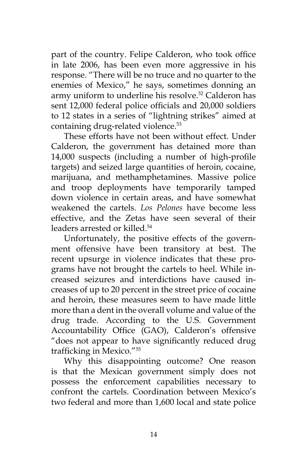part of the country. Felipe Calderon, who took office in late 2006, has been even more aggressive in his response. "There will be no truce and no quarter to the enemies of Mexico," he says, sometimes donning an army uniform to underline his resolve.<sup>52</sup> Calderon has sent 12,000 federal police officials and 20,000 soldiers to 12 states in a series of "lightning strikes" aimed at containing drug-related violence.<sup>53</sup>

These efforts have not been without effect. Under Calderon, the government has detained more than 14,000 suspects (including a number of high-profile targets) and seized large quantities of heroin, cocaine, marijuana, and methamphetamines. Massive police and troop deployments have temporarily tamped down violence in certain areas, and have somewhat weakened the cartels. *Los Pelones* have become less effective, and the Zetas have seen several of their leaders arrested or killed.<sup>54</sup>

Unfortunately, the positive effects of the government offensive have been transitory at best. The recent upsurge in violence indicates that these programs have not brought the cartels to heel. While increased seizures and interdictions have caused increases of up to 20 percent in the street price of cocaine and heroin, these measures seem to have made little more than a dent in the overall volume and value of the drug trade. According to the U.S. Government Accountability Office (GAO), Calderon's offensive "does not appear to have significantly reduced drug trafficking in Mexico."<sup>55</sup>

Why this disappointing outcome? One reason is that the Mexican government simply does not possess the enforcement capabilities necessary to confront the cartels. Coordination between Mexico's two federal and more than 1,600 local and state police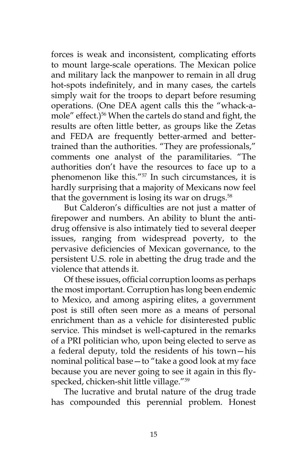forces is weak and inconsistent, complicating efforts to mount large-scale operations. The Mexican police and military lack the manpower to remain in all drug hot-spots indefinitely, and in many cases, the cartels simply wait for the troops to depart before resuming operations. (One DEA agent calls this the "whack-amole" effect.)<sup>56</sup> When the cartels do stand and fight, the results are often little better, as groups like the Zetas and FEDA are frequently better-armed and bettertrained than the authorities. "They are professionals," comments one analyst of the paramilitaries. "The authorities don't have the resources to face up to a phenomenon like this."57 In such circumstances, it is hardly surprising that a majority of Mexicans now feel that the government is losing its war on drugs. $58$ 

But Calderon's difficulties are not just a matter of firepower and numbers. An ability to blunt the antidrug offensive is also intimately tied to several deeper issues, ranging from widespread poverty, to the pervasive deficiencies of Mexican governance, to the persistent U.S. role in abetting the drug trade and the violence that attends it.

Of these issues, official corruption looms as perhaps the most important. Corruption has long been endemic to Mexico, and among aspiring elites, a government post is still often seen more as a means of personal enrichment than as a vehicle for disinterested public service. This mindset is well-captured in the remarks of a PRI politician who, upon being elected to serve as a federal deputy, told the residents of his town—his nominal political base—to "take a good look at my face because you are never going to see it again in this flyspecked, chicken-shit little village."<sup>59</sup>

The lucrative and brutal nature of the drug trade has compounded this perennial problem. Honest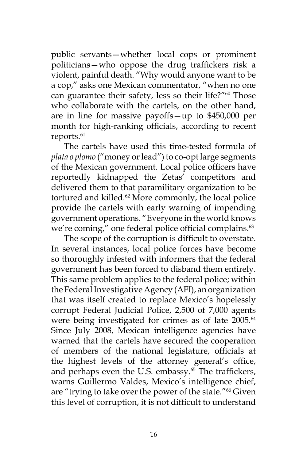public servants—whether local cops or prominent politicians—who oppose the drug traffickers risk a violent, painful death. "Why would anyone want to be a cop," asks one Mexican commentator, "when no one can guarantee their safety, less so their life?"<sup>60</sup> Those who collaborate with the cartels, on the other hand, are in line for massive payoffs—up to \$450,000 per month for high-ranking officials, according to recent reports.<sup>61</sup>

The cartels have used this time-tested formula of *plata o plomo* ("money or lead") to co-opt large segments of the Mexican government. Local police officers have reportedly kidnapped the Zetas' competitors and delivered them to that paramilitary organization to be tortured and killed.<sup>62</sup> More commonly, the local police provide the cartels with early warning of impending government operations. "Everyone in the world knows we're coming," one federal police official complains.<sup>63</sup>

The scope of the corruption is difficult to overstate. In several instances, local police forces have become so thoroughly infested with informers that the federal government has been forced to disband them entirely. This same problem applies to the federal police; within the Federal Investigative Agency (AFI), an organization that was itself created to replace Mexico's hopelessly corrupt Federal Judicial Police, 2,500 of 7,000 agents were being investigated for crimes as of late 2005.<sup>64</sup> Since July 2008, Mexican intelligence agencies have warned that the cartels have secured the cooperation of members of the national legislature, officials at the highest levels of the attorney general's office, and perhaps even the U.S. embassy.<sup>65</sup> The traffickers, warns Guillermo Valdes, Mexico's intelligence chief, are "trying to take over the power of the state."66 Given this level of corruption, it is not difficult to understand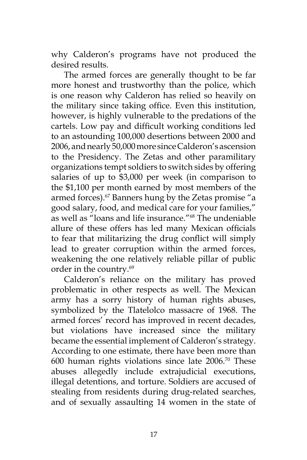why Calderon's programs have not produced the desired results.

The armed forces are generally thought to be far more honest and trustworthy than the police, which is one reason why Calderon has relied so heavily on the military since taking office. Even this institution, however, is highly vulnerable to the predations of the cartels. Low pay and difficult working conditions led to an astounding 100,000 desertions between 2000 and 2006, and nearly 50,000 more since Calderon's ascension to the Presidency. The Zetas and other paramilitary organizations tempt soldiers to switch sides by offering salaries of up to \$3,000 per week (in comparison to the \$1,100 per month earned by most members of the armed forces).<sup>67</sup> Banners hung by the Zetas promise "a good salary, food, and medical care for your families," as well as "loans and life insurance."68 The undeniable allure of these offers has led many Mexican officials to fear that militarizing the drug conflict will simply lead to greater corruption within the armed forces, weakening the one relatively reliable pillar of public order in the country.69

Calderon's reliance on the military has proved problematic in other respects as well. The Mexican army has a sorry history of human rights abuses, symbolized by the Tlatelolco massacre of 1968. The armed forces' record has improved in recent decades, but violations have increased since the military became the essential implement of Calderon's strategy. According to one estimate, there have been more than 600 human rights violations since late 2006.70 These abuses allegedly include extrajudicial executions, illegal detentions, and torture. Soldiers are accused of stealing from residents during drug-related searches, and of sexually assaulting 14 women in the state of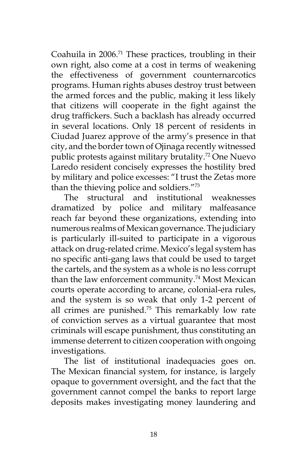Coahuila in 2006.71 These practices, troubling in their own right, also come at a cost in terms of weakening the effectiveness of government counternarcotics programs. Human rights abuses destroy trust between the armed forces and the public, making it less likely that citizens will cooperate in the fight against the drug traffickers. Such a backlash has already occurred in several locations. Only 18 percent of residents in Ciudad Juarez approve of the army's presence in that city, and the border town of Ojinaga recently witnessed public protests against military brutality.<sup>72</sup> One Nuevo Laredo resident concisely expresses the hostility bred by military and police excesses: "I trust the Zetas more than the thieving police and soldiers."73

The structural and institutional weaknesses dramatized by police and military malfeasance reach far beyond these organizations, extending into numerous realms of Mexican governance. The judiciary is particularly ill-suited to participate in a vigorous attack on drug-related crime. Mexico's legal system has no specific anti-gang laws that could be used to target the cartels, and the system as a whole is no less corrupt than the law enforcement community.<sup>74</sup> Most Mexican courts operate according to arcane, colonial-era rules, and the system is so weak that only 1-2 percent of all crimes are punished.75 This remarkably low rate of conviction serves as a virtual guarantee that most criminals will escape punishment, thus constituting an immense deterrent to citizen cooperation with ongoing investigations.

The list of institutional inadequacies goes on. The Mexican financial system, for instance, is largely opaque to government oversight, and the fact that the government cannot compel the banks to report large deposits makes investigating money laundering and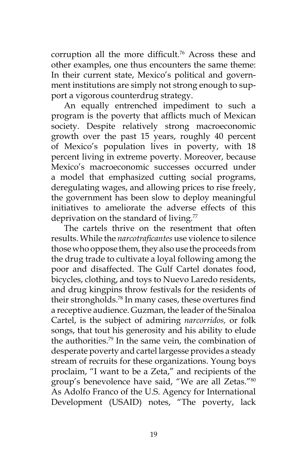corruption all the more difficult.<sup>76</sup> Across these and other examples, one thus encounters the same theme: In their current state, Mexico's political and government institutions are simply not strong enough to support a vigorous counterdrug strategy.

An equally entrenched impediment to such a program is the poverty that afflicts much of Mexican society. Despite relatively strong macroeconomic growth over the past 15 years, roughly 40 percent of Mexico's population lives in poverty, with 18 percent living in extreme poverty. Moreover, because Mexico's macroeconomic successes occurred under a model that emphasized cutting social programs, deregulating wages, and allowing prices to rise freely, the government has been slow to deploy meaningful initiatives to ameliorate the adverse effects of this deprivation on the standard of living.<sup>77</sup>

The cartels thrive on the resentment that often results. While the *narcotraficantes* use violence to silence those who oppose them, they also use the proceeds from the drug trade to cultivate a loyal following among the poor and disaffected. The Gulf Cartel donates food, bicycles, clothing, and toys to Nuevo Laredo residents, and drug kingpins throw festivals for the residents of their strongholds.78 In many cases, these overtures find a receptive audience. Guzman, the leader of the Sinaloa Cartel, is the subject of admiring *narcorridos,* or folk songs, that tout his generosity and his ability to elude the authorities.79 In the same vein, the combination of desperate poverty and cartel largesse provides a steady stream of recruits for these organizations. Young boys proclaim, "I want to be a Zeta," and recipients of the group's benevolence have said, "We are all Zetas."80 As Adolfo Franco of the U.S. Agency for International Development (USAID) notes, "The poverty, lack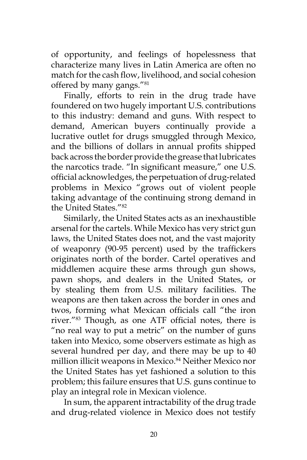of opportunity, and feelings of hopelessness that characterize many lives in Latin America are often no match for the cash flow, livelihood, and social cohesion offered by many gangs."81

Finally, efforts to rein in the drug trade have foundered on two hugely important U.S. contributions to this industry: demand and guns. With respect to demand, American buyers continually provide a lucrative outlet for drugs smuggled through Mexico, and the billions of dollars in annual profits shipped back across the border provide the grease that lubricates the narcotics trade. "In significant measure," one U.S. official acknowledges, the perpetuation of drug-related problems in Mexico "grows out of violent people taking advantage of the continuing strong demand in the United States."82

Similarly, the United States acts as an inexhaustible arsenal for the cartels. While Mexico has very strict gun laws, the United States does not, and the vast majority of weaponry (90-95 percent) used by the traffickers originates north of the border. Cartel operatives and middlemen acquire these arms through gun shows, pawn shops, and dealers in the United States, or by stealing them from U.S. military facilities. The weapons are then taken across the border in ones and twos, forming what Mexican officials call "the iron river."83 Though, as one ATF official notes, there is "no real way to put a metric" on the number of guns taken into Mexico, some observers estimate as high as several hundred per day, and there may be up to 40 million illicit weapons in Mexico.<sup>84</sup> Neither Mexico nor the United States has yet fashioned a solution to this problem; this failure ensures that U.S. guns continue to play an integral role in Mexican violence.

In sum, the apparent intractability of the drug trade and drug-related violence in Mexico does not testify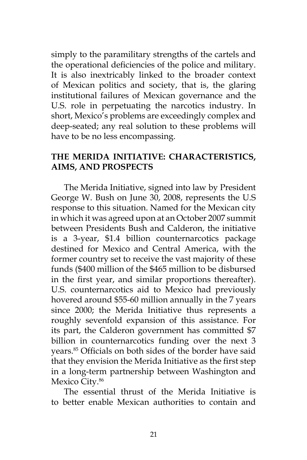simply to the paramilitary strengths of the cartels and the operational deficiencies of the police and military. It is also inextricably linked to the broader context of Mexican politics and society, that is, the glaring institutional failures of Mexican governance and the U.S. role in perpetuating the narcotics industry. In short, Mexico's problems are exceedingly complex and deep-seated; any real solution to these problems will have to be no less encompassing.

#### **THE MERIDA INITIATIVE: CHARACTERISTICS, AIMS, AND PROSPECTS**

The Merida Initiative, signed into law by President George W. Bush on June 30, 2008, represents the U.S response to this situation. Named for the Mexican city in which it was agreed upon at an October 2007 summit between Presidents Bush and Calderon, the initiative is a 3-year, \$1.4 billion counternarcotics package destined for Mexico and Central America, with the former country set to receive the vast majority of these funds (\$400 million of the \$465 million to be disbursed in the first year, and similar proportions thereafter). U.S. counternarcotics aid to Mexico had previously hovered around \$55-60 million annually in the 7 years since 2000; the Merida Initiative thus represents a roughly sevenfold expansion of this assistance. For its part, the Calderon government has committed \$7 billion in counternarcotics funding over the next 3 years.85 Officials on both sides of the border have said that they envision the Merida Initiative as the first step in a long-term partnership between Washington and Mexico City.<sup>86</sup>

The essential thrust of the Merida Initiative is to better enable Mexican authorities to contain and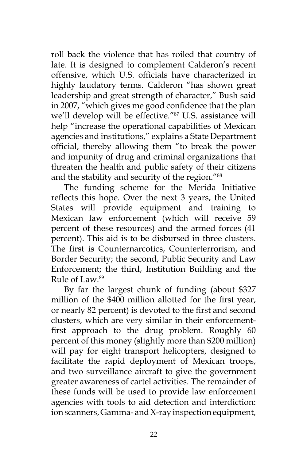roll back the violence that has roiled that country of late. It is designed to complement Calderon's recent offensive, which U.S. officials have characterized in highly laudatory terms. Calderon "has shown great leadership and great strength of character," Bush said in 2007, "which gives me good confidence that the plan we'll develop will be effective."87 U.S. assistance will help "increase the operational capabilities of Mexican agencies and institutions," explains a State Department official, thereby allowing them "to break the power and impunity of drug and criminal organizations that threaten the health and public safety of their citizens and the stability and security of the region."<sup>88</sup>

The funding scheme for the Merida Initiative reflects this hope. Over the next 3 years, the United States will provide equipment and training to Mexican law enforcement (which will receive 59 percent of these resources) and the armed forces (41 percent). This aid is to be disbursed in three clusters. The first is Counternarcotics, Counterterrorism, and Border Security; the second, Public Security and Law Enforcement; the third, Institution Building and the Rule of Law.89

By far the largest chunk of funding (about \$327 million of the \$400 million allotted for the first year, or nearly 82 percent) is devoted to the first and second clusters, which are very similar in their enforcementfirst approach to the drug problem. Roughly 60 percent of this money (slightly more than \$200 million) will pay for eight transport helicopters, designed to facilitate the rapid deployment of Mexican troops, and two surveillance aircraft to give the government greater awareness of cartel activities. The remainder of these funds will be used to provide law enforcement agencies with tools to aid detection and interdiction: ion scanners, Gamma- and X-ray inspection equipment,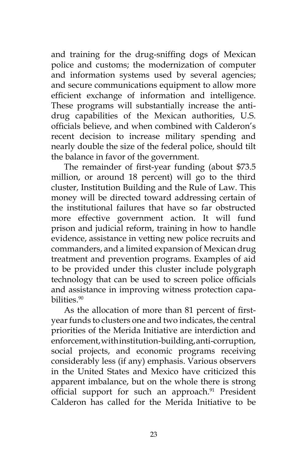and training for the drug-sniffing dogs of Mexican police and customs; the modernization of computer and information systems used by several agencies; and secure communications equipment to allow more efficient exchange of information and intelligence. These programs will substantially increase the antidrug capabilities of the Mexican authorities, U.S. officials believe, and when combined with Calderon's recent decision to increase military spending and nearly double the size of the federal police, should tilt the balance in favor of the government.

The remainder of first-year funding (about \$73.5 million, or around 18 percent) will go to the third cluster, Institution Building and the Rule of Law. This money will be directed toward addressing certain of the institutional failures that have so far obstructed more effective government action. It will fund prison and judicial reform, training in how to handle evidence, assistance in vetting new police recruits and commanders, and a limited expansion of Mexican drug treatment and prevention programs. Examples of aid to be provided under this cluster include polygraph technology that can be used to screen police officials and assistance in improving witness protection capabilities<sup>90</sup>

As the allocation of more than 81 percent of firstyear funds to clusters one and two indicates, the central priorities of the Merida Initiative are interdiction and enforcement, with institution-building, anti-corruption, social projects, and economic programs receiving considerably less (if any) emphasis. Various observers in the United States and Mexico have criticized this apparent imbalance, but on the whole there is strong official support for such an approach.<sup>91</sup> President Calderon has called for the Merida Initiative to be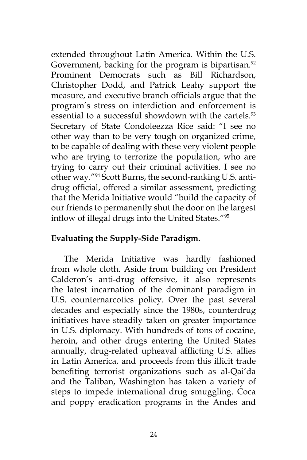extended throughout Latin America. Within the U.S. Government, backing for the program is bipartisan.<sup>92</sup> Prominent Democrats such as Bill Richardson, Christopher Dodd, and Patrick Leahy support the measure, and executive branch officials argue that the program's stress on interdiction and enforcement is essential to a successful showdown with the cartels.<sup>93</sup> Secretary of State Condoleezza Rice said: "I see no other way than to be very tough on organized crime, to be capable of dealing with these very violent people who are trying to terrorize the population, who are trying to carry out their criminal activities. I see no other way."94 Scott Burns, the second-ranking U.S. antidrug official, offered a similar assessment, predicting that the Merida Initiative would "build the capacity of our friends to permanently shut the door on the largest inflow of illegal drugs into the United States."<sup>95</sup>

### **Evaluating the Supply-Side Paradigm.**

The Merida Initiative was hardly fashioned from whole cloth. Aside from building on President Calderon's anti-drug offensive, it also represents the latest incarnation of the dominant paradigm in U.S. counternarcotics policy. Over the past several decades and especially since the 1980s, counterdrug initiatives have steadily taken on greater importance in U.S. diplomacy. With hundreds of tons of cocaine, heroin, and other drugs entering the United States annually, drug-related upheaval afflicting U.S. allies in Latin America, and proceeds from this illicit trade benefiting terrorist organizations such as al-Qai'da and the Taliban, Washington has taken a variety of steps to impede international drug smuggling. Coca and poppy eradication programs in the Andes and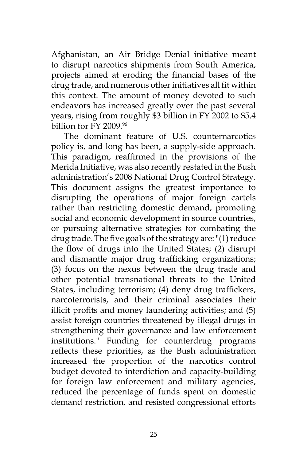Afghanistan, an Air Bridge Denial initiative meant to disrupt narcotics shipments from South America, projects aimed at eroding the financial bases of the drug trade, and numerous other initiatives all fit within this context. The amount of money devoted to such endeavors has increased greatly over the past several years, rising from roughly \$3 billion in FY 2002 to \$5.4 billion for FY 2009 <sup>96</sup>

The dominant feature of U.S. counternarcotics policy is, and long has been, a supply-side approach. This paradigm, reaffirmed in the provisions of the Merida Initiative, was also recently restated in the Bush administration's 2008 National Drug Control Strategy. This document assigns the greatest importance to disrupting the operations of major foreign cartels rather than restricting domestic demand, promoting social and economic development in source countries, or pursuing alternative strategies for combating the drug trade. The five goals of the strategy are: "(1) reduce the flow of drugs into the United States; (2) disrupt and dismantle major drug trafficking organizations; (3) focus on the nexus between the drug trade and other potential transnational threats to the United States, including terrorism; (4) deny drug traffickers, narcoterrorists, and their criminal associates their illicit profits and money laundering activities; and (5) assist foreign countries threatened by illegal drugs in strengthening their governance and law enforcement institutions." Funding for counterdrug programs reflects these priorities, as the Bush administration increased the proportion of the narcotics control budget devoted to interdiction and capacity-building for foreign law enforcement and military agencies, reduced the percentage of funds spent on domestic demand restriction, and resisted congressional efforts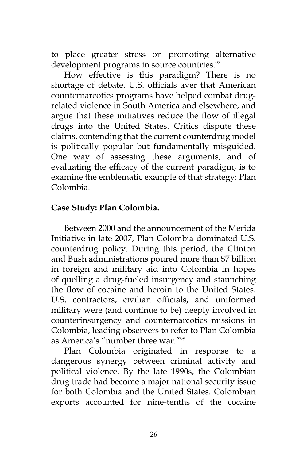to place greater stress on promoting alternative development programs in source countries.<sup>97</sup>

How effective is this paradigm? There is no shortage of debate. U.S. officials aver that American counternarcotics programs have helped combat drugrelated violence in South America and elsewhere, and argue that these initiatives reduce the flow of illegal drugs into the United States. Critics dispute these claims, contending that the current counterdrug model is politically popular but fundamentally misguided. One way of assessing these arguments, and of evaluating the efficacy of the current paradigm, is to examine the emblematic example of that strategy: Plan Colombia.

# **Case Study: Plan Colombia.**

Between 2000 and the announcement of the Merida Initiative in late 2007, Plan Colombia dominated U.S. counterdrug policy. During this period, the Clinton and Bush administrations poured more than \$7 billion in foreign and military aid into Colombia in hopes of quelling a drug-fueled insurgency and staunching the flow of cocaine and heroin to the United States. U.S. contractors, civilian officials, and uniformed military were (and continue to be) deeply involved in counterinsurgency and counternarcotics missions in Colombia, leading observers to refer to Plan Colombia as America's "number three war."98

Plan Colombia originated in response to a dangerous synergy between criminal activity and political violence. By the late 1990s, the Colombian drug trade had become a major national security issue for both Colombia and the United States. Colombian exports accounted for nine-tenths of the cocaine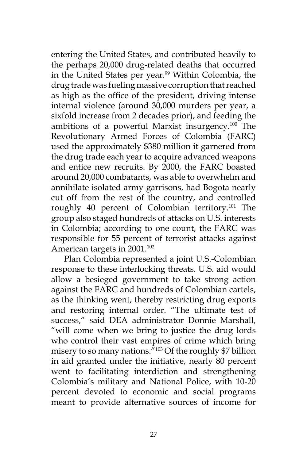entering the United States, and contributed heavily to the perhaps 20,000 drug-related deaths that occurred in the United States per year.<sup>99</sup> Within Colombia, the drug trade was fueling massive corruption that reached as high as the office of the president, driving intense internal violence (around 30,000 murders per year, a sixfold increase from 2 decades prior), and feeding the ambitions of a powerful Marxist insurgency.100 The Revolutionary Armed Forces of Colombia (FARC) used the approximately \$380 million it garnered from the drug trade each year to acquire advanced weapons and entice new recruits. By 2000, the FARC boasted around 20,000 combatants, was able to overwhelm and annihilate isolated army garrisons, had Bogota nearly cut off from the rest of the country, and controlled roughly 40 percent of Colombian territory.101 The group also staged hundreds of attacks on U.S. interests in Colombia; according to one count, the FARC was responsible for 55 percent of terrorist attacks against American targets in 2001.<sup>102</sup>

Plan Colombia represented a joint U.S.-Colombian response to these interlocking threats. U.S. aid would allow a besieged government to take strong action against the FARC and hundreds of Colombian cartels, as the thinking went, thereby restricting drug exports and restoring internal order. "The ultimate test of success," said DEA administrator Donnie Marshall, "will come when we bring to justice the drug lords who control their vast empires of crime which bring misery to so many nations."<sup>103</sup> Of the roughly \$7 billion in aid granted under the initiative, nearly 80 percent went to facilitating interdiction and strengthening Colombia's military and National Police, with 10-20 percent devoted to economic and social programs meant to provide alternative sources of income for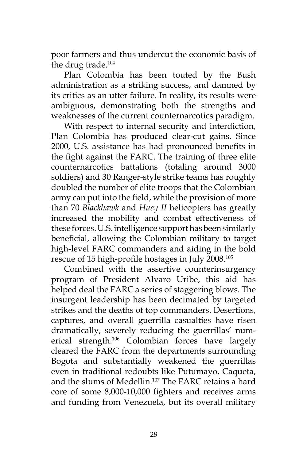poor farmers and thus undercut the economic basis of the drug trade.104

Plan Colombia has been touted by the Bush administration as a striking success, and damned by its critics as an utter failure. In reality, its results were ambiguous, demonstrating both the strengths and weaknesses of the current counternarcotics paradigm.

With respect to internal security and interdiction, Plan Colombia has produced clear-cut gains. Since 2000, U.S. assistance has had pronounced benefits in the fight against the FARC. The training of three elite counternarcotics battalions (totaling around 3000 soldiers) and 30 Ranger-style strike teams has roughly doubled the number of elite troops that the Colombian army can put into the field, while the provision of more than 70 *Blackhawk* and *Huey II* helicopters has greatly increased the mobility and combat effectiveness of these forces. U.S. intelligence support has been similarly beneficial, allowing the Colombian military to target high-level FARC commanders and aiding in the bold rescue of 15 high-profile hostages in July 2008.<sup>105</sup>

Combined with the assertive counterinsurgency program of President Alvaro Uribe, this aid has helped deal the FARC a series of staggering blows. The insurgent leadership has been decimated by targeted strikes and the deaths of top commanders. Desertions, captures, and overall guerrilla casualties have risen dramatically, severely reducing the guerrillas' numerical strength.106 Colombian forces have largely cleared the FARC from the departments surrounding Bogota and substantially weakened the guerrillas even in traditional redoubts like Putumayo, Caqueta, and the slums of Medellin.<sup>107</sup> The FARC retains a hard core of some 8,000-10,000 fighters and receives arms and funding from Venezuela, but its overall military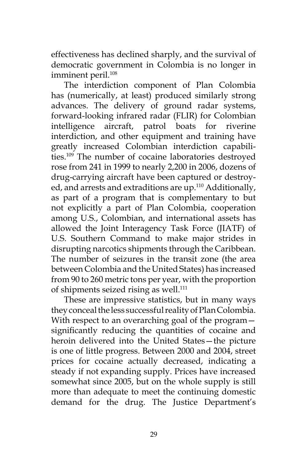effectiveness has declined sharply, and the survival of democratic government in Colombia is no longer in imminent peril.<sup>108</sup>

The interdiction component of Plan Colombia has (numerically, at least) produced similarly strong advances. The delivery of ground radar systems, forward-looking infrared radar (FLIR) for Colombian intelligence aircraft, patrol boats for riverine interdiction, and other equipment and training have greatly increased Colombian interdiction capabilities.109 The number of cocaine laboratories destroyed rose from 241 in 1999 to nearly 2,200 in 2006, dozens of drug-carrying aircraft have been captured or destroyed, and arrests and extraditions are up.110 Additionally, as part of a program that is complementary to but not explicitly a part of Plan Colombia, cooperation among U.S., Colombian, and international assets has allowed the Joint Interagency Task Force (JIATF) of U.S. Southern Command to make major strides in disrupting narcotics shipments through the Caribbean. The number of seizures in the transit zone (the area between Colombia and the United States) has increased from 90 to 260 metric tons per year, with the proportion of shipments seized rising as well.<sup>111</sup>

These are impressive statistics, but in many ways they conceal the less successful reality of Plan Colombia. With respect to an overarching goal of the programsignificantly reducing the quantities of cocaine and heroin delivered into the United States—the picture is one of little progress. Between 2000 and 2004, street prices for cocaine actually decreased, indicating a steady if not expanding supply. Prices have increased somewhat since 2005, but on the whole supply is still more than adequate to meet the continuing domestic demand for the drug. The Justice Department's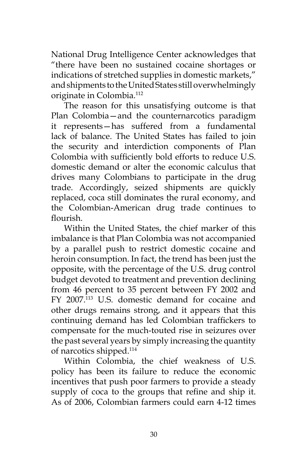National Drug Intelligence Center acknowledges that "there have been no sustained cocaine shortages or indications of stretched supplies in domestic markets," and shipments to the United States still overwhelmingly originate in Colombia.112

The reason for this unsatisfying outcome is that Plan Colombia—and the counternarcotics paradigm it represents—has suffered from a fundamental lack of balance. The United States has failed to join the security and interdiction components of Plan Colombia with sufficiently bold efforts to reduce U.S. domestic demand or alter the economic calculus that drives many Colombians to participate in the drug trade. Accordingly, seized shipments are quickly replaced, coca still dominates the rural economy, and the Colombian-American drug trade continues to flourish.

Within the United States, the chief marker of this imbalance is that Plan Colombia was not accompanied by a parallel push to restrict domestic cocaine and heroin consumption. In fact, the trend has been just the opposite, with the percentage of the U.S. drug control budget devoted to treatment and prevention declining from 46 percent to 35 percent between FY 2002 and FY 2007.<sup>113</sup> U.S. domestic demand for cocaine and other drugs remains strong, and it appears that this continuing demand has led Colombian traffickers to compensate for the much-touted rise in seizures over the past several years by simply increasing the quantity of narcotics shipped.114

Within Colombia, the chief weakness of U.S. policy has been its failure to reduce the economic incentives that push poor farmers to provide a steady supply of coca to the groups that refine and ship it. As of 2006, Colombian farmers could earn 4-12 times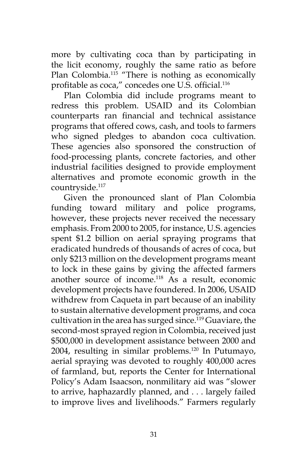more by cultivating coca than by participating in the licit economy, roughly the same ratio as before Plan Colombia.<sup>115</sup> "There is nothing as economically profitable as coca," concedes one U.S. official.<sup>116</sup>

Plan Colombia did include programs meant to redress this problem. USAID and its Colombian counterparts ran financial and technical assistance programs that offered cows, cash, and tools to farmers who signed pledges to abandon coca cultivation. These agencies also sponsored the construction of food-processing plants, concrete factories, and other industrial facilities designed to provide employment alternatives and promote economic growth in the countryside.<sup>117</sup>

Given the pronounced slant of Plan Colombia funding toward military and police programs, however, these projects never received the necessary emphasis. From 2000 to 2005, for instance, U.S. agencies spent \$1.2 billion on aerial spraying programs that eradicated hundreds of thousands of acres of coca, but only \$213 million on the development programs meant to lock in these gains by giving the affected farmers another source of income.118 As a result, economic development projects have foundered. In 2006, USAID withdrew from Caqueta in part because of an inability to sustain alternative development programs, and coca cultivation in the area has surged since.<sup>119</sup> Guaviare, the second-most sprayed region in Colombia, received just \$500,000 in development assistance between 2000 and 2004, resulting in similar problems.120 In Putumayo, aerial spraying was devoted to roughly 400,000 acres of farmland, but, reports the Center for International Policy's Adam Isaacson, nonmilitary aid was "slower to arrive, haphazardly planned, and . . . largely failed to improve lives and livelihoods." Farmers regularly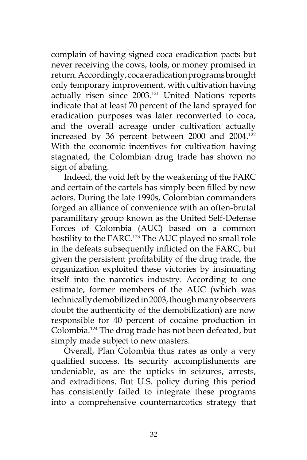complain of having signed coca eradication pacts but never receiving the cows, tools, or money promised in return. Accordingly, coca eradication programs brought only temporary improvement, with cultivation having actually risen since 2003.<sup>121</sup> United Nations reports indicate that at least 70 percent of the land sprayed for eradication purposes was later reconverted to coca, and the overall acreage under cultivation actually increased by 36 percent between 2000 and 2004.<sup>122</sup> With the economic incentives for cultivation having stagnated, the Colombian drug trade has shown no sign of abating.

Indeed, the void left by the weakening of the FARC and certain of the cartels has simply been filled by new actors. During the late 1990s, Colombian commanders forged an alliance of convenience with an often-brutal paramilitary group known as the United Self-Defense Forces of Colombia (AUC) based on a common hostility to the FARC.<sup>123</sup> The AUC played no small role in the defeats subsequently inflicted on the FARC, but given the persistent profitability of the drug trade, the organization exploited these victories by insinuating itself into the narcotics industry. According to one estimate, former members of the AUC (which was technically demobilized in 2003, though many observers doubt the authenticity of the demobilization) are now responsible for 40 percent of cocaine production in Colombia.124 The drug trade has not been defeated, but simply made subject to new masters.

Overall, Plan Colombia thus rates as only a very qualified success. Its security accomplishments are undeniable, as are the upticks in seizures, arrests, and extraditions. But U.S. policy during this period has consistently failed to integrate these programs into a comprehensive counternarcotics strategy that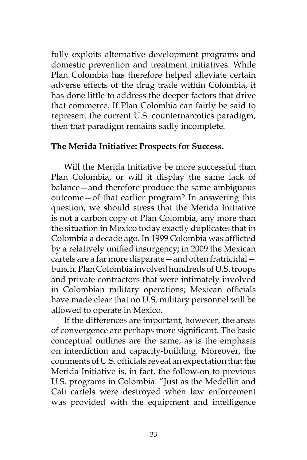fully exploits alternative development programs and domestic prevention and treatment initiatives. While Plan Colombia has therefore helped alleviate certain adverse effects of the drug trade within Colombia, it has done little to address the deeper factors that drive that commerce. If Plan Colombia can fairly be said to represent the current U.S. counternarcotics paradigm, then that paradigm remains sadly incomplete.

#### **The Merida Initiative: Prospects for Success.**

Will the Merida Initiative be more successful than Plan Colombia, or will it display the same lack of balance—and therefore produce the same ambiguous outcome—of that earlier program? In answering this question, we should stress that the Merida Initiative is not a carbon copy of Plan Colombia, any more than the situation in Mexico today exactly duplicates that in Colombia a decade ago. In 1999 Colombia was afflicted by a relatively unified insurgency; in 2009 the Mexican cartels are a far more disparate—and often fratricidal bunch. Plan Colombia involved hundreds of U.S. troops and private contractors that were intimately involved in Colombian military operations; Mexican officials have made clear that no U.S. military personnel will be allowed to operate in Mexico.

If the differences are important, however, the areas of convergence are perhaps more significant. The basic conceptual outlines are the same, as is the emphasis on interdiction and capacity-building. Moreover, the comments of U.S. officials reveal an expectation that the Merida Initiative is, in fact, the follow-on to previous U.S. programs in Colombia. "Just as the Medellin and Cali cartels were destroyed when law enforcement was provided with the equipment and intelligence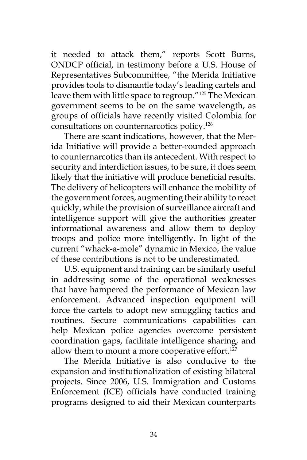it needed to attack them," reports Scott Burns, ONDCP official, in testimony before a U.S. House of Representatives Subcommittee, "the Merida Initiative provides tools to dismantle today's leading cartels and leave them with little space to regroup."125 The Mexican government seems to be on the same wavelength, as groups of officials have recently visited Colombia for consultations on counternarcotics policy.126

There are scant indications, however, that the Merida Initiative will provide a better-rounded approach to counternarcotics than its antecedent. With respect to security and interdiction issues, to be sure, it does seem likely that the initiative will produce beneficial results. The delivery of helicopters will enhance the mobility of the government forces, augmenting their ability to react quickly, while the provision of surveillance aircraft and intelligence support will give the authorities greater informational awareness and allow them to deploy troops and police more intelligently. In light of the current "whack-a-mole" dynamic in Mexico, the value of these contributions is not to be underestimated.

U.S. equipment and training can be similarly useful in addressing some of the operational weaknesses that have hampered the performance of Mexican law enforcement. Advanced inspection equipment will force the cartels to adopt new smuggling tactics and routines. Secure communications capabilities can help Mexican police agencies overcome persistent coordination gaps, facilitate intelligence sharing, and allow them to mount a more cooperative effort. $127$ 

The Merida Initiative is also conducive to the expansion and institutionalization of existing bilateral projects. Since 2006, U.S. Immigration and Customs Enforcement (ICE) officials have conducted training programs designed to aid their Mexican counterparts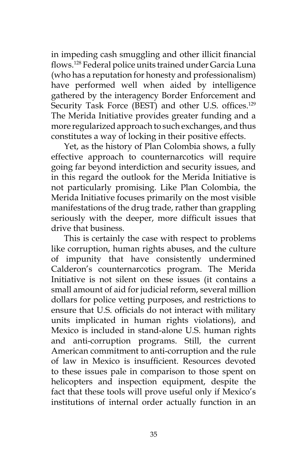in impeding cash smuggling and other illicit financial flows.128 Federal police units trained under Garcia Luna (who has a reputation for honesty and professionalism) have performed well when aided by intelligence gathered by the interagency Border Enforcement and Security Task Force (BEST) and other U.S. offices.<sup>129</sup> The Merida Initiative provides greater funding and a more regularized approach to such exchanges, and thus constitutes a way of locking in their positive effects.

Yet, as the history of Plan Colombia shows, a fully effective approach to counternarcotics will require going far beyond interdiction and security issues, and in this regard the outlook for the Merida Initiative is not particularly promising. Like Plan Colombia, the Merida Initiative focuses primarily on the most visible manifestations of the drug trade, rather than grappling seriously with the deeper, more difficult issues that drive that business.

This is certainly the case with respect to problems like corruption, human rights abuses, and the culture of impunity that have consistently undermined Calderon's counternarcotics program. The Merida Initiative is not silent on these issues (it contains a small amount of aid for judicial reform, several million dollars for police vetting purposes, and restrictions to ensure that U.S. officials do not interact with military units implicated in human rights violations), and Mexico is included in stand-alone U.S. human rights and anti-corruption programs. Still, the current American commitment to anti-corruption and the rule of law in Mexico is insufficient. Resources devoted to these issues pale in comparison to those spent on helicopters and inspection equipment, despite the fact that these tools will prove useful only if Mexico's institutions of internal order actually function in an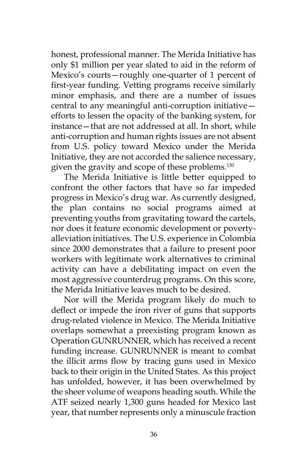honest, professional manner. The Merida Initiative has only \$1 million per year slated to aid in the reform of Mexico's courts—roughly one-quarter of 1 percent of first-year funding. Vetting programs receive similarly minor emphasis, and there are a number of issues central to any meaningful anti-corruption initiative efforts to lessen the opacity of the banking system, for instance—that are not addressed at all. In short, while anti-corruption and human rights issues are not absent from U.S. policy toward Mexico under the Merida Initiative, they are not accorded the salience necessary, given the gravity and scope of these problems.<sup>130</sup>

The Merida Initiative is little better equipped to confront the other factors that have so far impeded progress in Mexico's drug war. As currently designed, the plan contains no social programs aimed at preventing youths from gravitating toward the cartels, nor does it feature economic development or povertyalleviation initiatives. The U.S. experience in Colombia since 2000 demonstrates that a failure to present poor workers with legitimate work alternatives to criminal activity can have a debilitating impact on even the most aggressive counterdrug programs. On this score, the Merida Initiative leaves much to be desired.

Nor will the Merida program likely do much to deflect or impede the iron river of guns that supports drug-related violence in Mexico. The Merida Initiative overlaps somewhat a preexisting program known as Operation GUNRUNNER, which has received a recent funding increase. GUNRUNNER is meant to combat the illicit arms flow by tracing guns used in Mexico back to their origin in the United States. As this project has unfolded, however, it has been overwhelmed by the sheer volume of weapons heading south. While the ATF seized nearly 1,300 guns headed for Mexico last year, that number represents only a minuscule fraction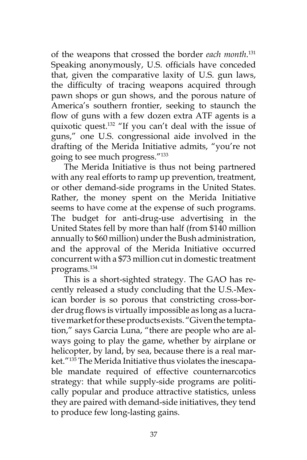of the weapons that crossed the border *each month*. 131 Speaking anonymously, U.S. officials have conceded that, given the comparative laxity of U.S. gun laws, the difficulty of tracing weapons acquired through pawn shops or gun shows, and the porous nature of America's southern frontier, seeking to staunch the flow of guns with a few dozen extra ATF agents is a quixotic quest.132 "If you can't deal with the issue of guns," one U.S. congressional aide involved in the drafting of the Merida Initiative admits, "you're not going to see much progress."133

The Merida Initiative is thus not being partnered with any real efforts to ramp up prevention, treatment, or other demand-side programs in the United States. Rather, the money spent on the Merida Initiative seems to have come at the expense of such programs. The budget for anti-drug-use advertising in the United States fell by more than half (from \$140 million annually to \$60 million) under the Bush administration, and the approval of the Merida Initiative occurred concurrent with a \$73 million cut in domestic treatment programs.134

This is a short-sighted strategy. The GAO has recently released a study concluding that the U.S.-Mexican border is so porous that constricting cross-border drug flows is virtually impossible as long as a lucrative market for these products exists. "Given the temptation," says Garcia Luna, "there are people who are always going to play the game, whether by airplane or helicopter, by land, by sea, because there is a real market."135 The Merida Initiative thus violates the inescapable mandate required of effective counternarcotics strategy: that while supply-side programs are politically popular and produce attractive statistics, unless they are paired with demand-side initiatives, they tend to produce few long-lasting gains.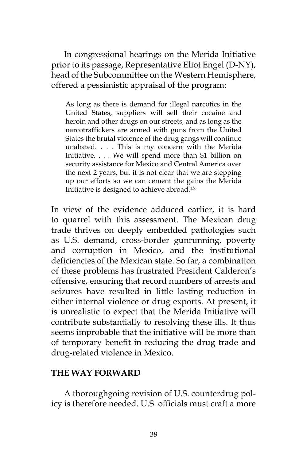In congressional hearings on the Merida Initiative prior to its passage, Representative Eliot Engel (D-NY), head of the Subcommittee on the Western Hemisphere, offered a pessimistic appraisal of the program:

As long as there is demand for illegal narcotics in the United States, suppliers will sell their cocaine and heroin and other drugs on our streets, and as long as the narcotraffickers are armed with guns from the United States the brutal violence of the drug gangs will continue unabated. . . . This is my concern with the Merida Initiative. . . . We will spend more than \$1 billion on security assistance for Mexico and Central America over the next 2 years, but it is not clear that we are stepping up our efforts so we can cement the gains the Merida Initiative is designed to achieve abroad.136

In view of the evidence adduced earlier, it is hard to quarrel with this assessment. The Mexican drug trade thrives on deeply embedded pathologies such as U.S. demand, cross-border gunrunning, poverty and corruption in Mexico, and the institutional deficiencies of the Mexican state. So far, a combination of these problems has frustrated President Calderon's offensive, ensuring that record numbers of arrests and seizures have resulted in little lasting reduction in either internal violence or drug exports. At present, it is unrealistic to expect that the Merida Initiative will contribute substantially to resolving these ills. It thus seems improbable that the initiative will be more than of temporary benefit in reducing the drug trade and drug-related violence in Mexico.

### **THE WAY FORWARD**

A thoroughgoing revision of U.S. counterdrug policy is therefore needed. U.S. officials must craft a more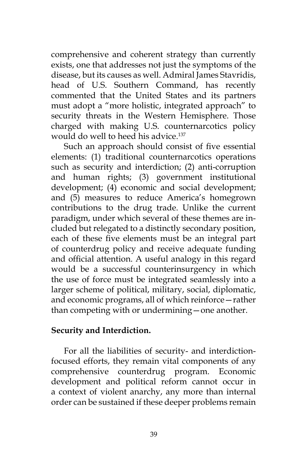comprehensive and coherent strategy than currently exists, one that addresses not just the symptoms of the disease, but its causes as well. Admiral James Stavridis, head of U.S. Southern Command, has recently commented that the United States and its partners must adopt a "more holistic, integrated approach" to security threats in the Western Hemisphere. Those charged with making U.S. counternarcotics policy would do well to heed his advice.<sup>137</sup>

Such an approach should consist of five essential elements: (1) traditional counternarcotics operations such as security and interdiction; (2) anti-corruption and human rights; (3) government institutional development; (4) economic and social development; and (5) measures to reduce America's homegrown contributions to the drug trade. Unlike the current paradigm, under which several of these themes are included but relegated to a distinctly secondary position, each of these five elements must be an integral part of counterdrug policy and receive adequate funding and official attention. A useful analogy in this regard would be a successful counterinsurgency in which the use of force must be integrated seamlessly into a larger scheme of political, military, social, diplomatic, and economic programs, all of which reinforce—rather than competing with or undermining—one another.

### **Security and Interdiction.**

For all the liabilities of security- and interdictionfocused efforts, they remain vital components of any comprehensive counterdrug program. Economic development and political reform cannot occur in a context of violent anarchy, any more than internal order can be sustained if these deeper problems remain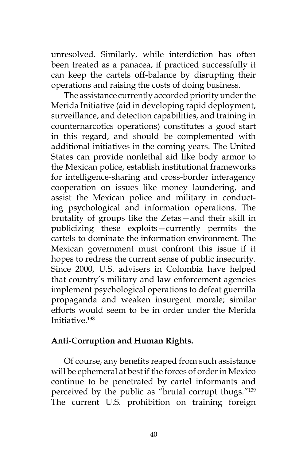unresolved. Similarly, while interdiction has often been treated as a panacea, if practiced successfully it can keep the cartels off-balance by disrupting their operations and raising the costs of doing business.

The assistance currently accorded priority under the Merida Initiative (aid in developing rapid deployment, surveillance, and detection capabilities, and training in counternarcotics operations) constitutes a good start in this regard, and should be complemented with additional initiatives in the coming years. The United States can provide nonlethal aid like body armor to the Mexican police, establish institutional frameworks for intelligence-sharing and cross-border interagency cooperation on issues like money laundering, and assist the Mexican police and military in conducting psychological and information operations. The brutality of groups like the Zetas—and their skill in publicizing these exploits—currently permits the cartels to dominate the information environment. The Mexican government must confront this issue if it hopes to redress the current sense of public insecurity. Since 2000, U.S. advisers in Colombia have helped that country's military and law enforcement agencies implement psychological operations to defeat guerrilla propaganda and weaken insurgent morale; similar efforts would seem to be in order under the Merida Initiative.138

# **Anti-Corruption and Human Rights.**

Of course, any benefits reaped from such assistance will be ephemeral at best if the forces of order in Mexico continue to be penetrated by cartel informants and perceived by the public as "brutal corrupt thugs."139 The current U.S. prohibition on training foreign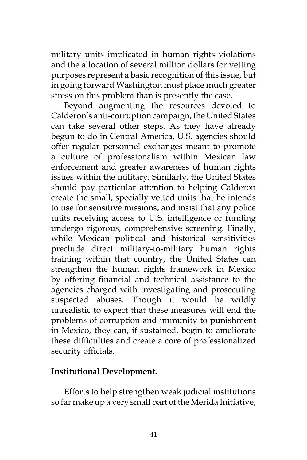military units implicated in human rights violations and the allocation of several million dollars for vetting purposes represent a basic recognition of this issue, but in going forward Washington must place much greater stress on this problem than is presently the case.

Beyond augmenting the resources devoted to Calderon's anti-corruption campaign, the United States can take several other steps. As they have already begun to do in Central America, U.S. agencies should offer regular personnel exchanges meant to promote a culture of professionalism within Mexican law enforcement and greater awareness of human rights issues within the military. Similarly, the United States should pay particular attention to helping Calderon create the small, specially vetted units that he intends to use for sensitive missions, and insist that any police units receiving access to U.S. intelligence or funding undergo rigorous, comprehensive screening. Finally, while Mexican political and historical sensitivities preclude direct military-to-military human rights training within that country, the United States can strengthen the human rights framework in Mexico by offering financial and technical assistance to the agencies charged with investigating and prosecuting suspected abuses. Though it would be wildly unrealistic to expect that these measures will end the problems of corruption and immunity to punishment in Mexico, they can, if sustained, begin to ameliorate these difficulties and create a core of professionalized security officials.

# **Institutional Development.**

Efforts to help strengthen weak judicial institutions so far make up a very small part of the Merida Initiative,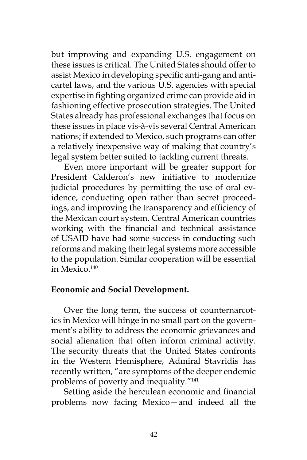but improving and expanding U.S. engagement on these issues is critical. The United States should offer to assist Mexico in developing specific anti-gang and anticartel laws, and the various U.S. agencies with special expertise in fighting organized crime can provide aid in fashioning effective prosecution strategies. The United States already has professional exchanges that focus on these issues in place vis-à-vis several Central American nations; if extended to Mexico, such programs can offer a relatively inexpensive way of making that country's legal system better suited to tackling current threats.

Even more important will be greater support for President Calderon's new initiative to modernize judicial procedures by permitting the use of oral evidence, conducting open rather than secret proceedings, and improving the transparency and efficiency of the Mexican court system. Central American countries working with the financial and technical assistance of USAID have had some success in conducting such reforms and making their legal systems more accessible to the population. Similar cooperation will be essential in Mexico.<sup>140</sup>

#### **Economic and Social Development.**

Over the long term, the success of counternarcotics in Mexico will hinge in no small part on the government's ability to address the economic grievances and social alienation that often inform criminal activity. The security threats that the United States confronts in the Western Hemisphere, Admiral Stavridis has recently written, "are symptoms of the deeper endemic problems of poverty and inequality."141

Setting aside the herculean economic and financial problems now facing Mexico—and indeed all the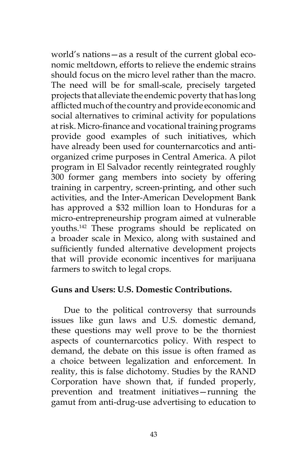world's nations—as a result of the current global economic meltdown, efforts to relieve the endemic strains should focus on the micro level rather than the macro. The need will be for small-scale, precisely targeted projects that alleviate the endemic poverty that has long afflicted much of the country and provide economic and social alternatives to criminal activity for populations at risk. Micro-finance and vocational training programs provide good examples of such initiatives, which have already been used for counternarcotics and antiorganized crime purposes in Central America. A pilot program in El Salvador recently reintegrated roughly 300 former gang members into society by offering training in carpentry, screen-printing, and other such activities, and the Inter-American Development Bank has approved a \$32 million loan to Honduras for a micro-entrepreneurship program aimed at vulnerable youths.142 These programs should be replicated on a broader scale in Mexico, along with sustained and sufficiently funded alternative development projects that will provide economic incentives for marijuana farmers to switch to legal crops.

#### **Guns and Users: U.S. Domestic Contributions.**

Due to the political controversy that surrounds issues like gun laws and U.S. domestic demand, these questions may well prove to be the thorniest aspects of counternarcotics policy. With respect to demand, the debate on this issue is often framed as a choice between legalization and enforcement. In reality, this is false dichotomy. Studies by the RAND Corporation have shown that, if funded properly, prevention and treatment initiatives—running the gamut from anti-drug-use advertising to education to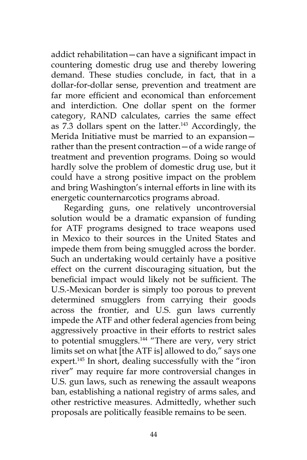addict rehabilitation—can have a significant impact in countering domestic drug use and thereby lowering demand. These studies conclude, in fact, that in a dollar-for-dollar sense, prevention and treatment are far more efficient and economical than enforcement and interdiction. One dollar spent on the former category, RAND calculates, carries the same effect as  $7.3$  dollars spent on the latter.<sup>143</sup> Accordingly, the Merida Initiative must be married to an expansion rather than the present contraction—of a wide range of treatment and prevention programs. Doing so would hardly solve the problem of domestic drug use, but it could have a strong positive impact on the problem and bring Washington's internal efforts in line with its energetic counternarcotics programs abroad.

Regarding guns, one relatively uncontroversial solution would be a dramatic expansion of funding for ATF programs designed to trace weapons used in Mexico to their sources in the United States and impede them from being smuggled across the border. Such an undertaking would certainly have a positive effect on the current discouraging situation, but the beneficial impact would likely not be sufficient. The U.S.-Mexican border is simply too porous to prevent determined smugglers from carrying their goods across the frontier, and U.S. gun laws currently impede the ATF and other federal agencies from being aggressively proactive in their efforts to restrict sales to potential smugglers.<sup>144</sup> "There are very, very strict limits set on what [the ATF is] allowed to do," says one expert.<sup>145</sup> In short, dealing successfully with the "iron river" may require far more controversial changes in U.S. gun laws, such as renewing the assault weapons ban, establishing a national registry of arms sales, and other restrictive measures. Admittedly, whether such proposals are politically feasible remains to be seen.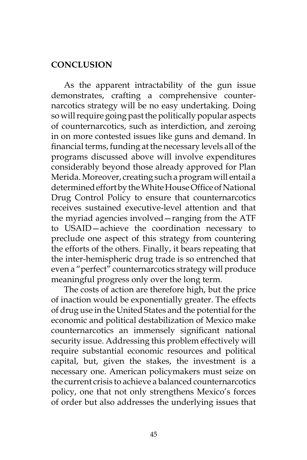#### **CONCLUSION**

As the apparent intractability of the gun issue demonstrates, crafting a comprehensive counternarcotics strategy will be no easy undertaking. Doing so will require going past the politically popular aspects of counternarcotics, such as interdiction, and zeroing in on more contested issues like guns and demand. In financial terms, funding at the necessary levels all of the programs discussed above will involve expenditures considerably beyond those already approved for Plan Merida. Moreover, creating such a program will entail a determined effort by the White House Office of National Drug Control Policy to ensure that counternarcotics receives sustained executive-level attention and that the myriad agencies involved—ranging from the ATF to USAID—achieve the coordination necessary to preclude one aspect of this strategy from countering the efforts of the others. Finally, it bears repeating that the inter-hemispheric drug trade is so entrenched that even a "perfect" counternarcotics strategy will produce meaningful progress only over the long term.

The costs of action are therefore high, but the price of inaction would be exponentially greater. The effects of drug use in the United States and the potential for the economic and political destabilization of Mexico make counternarcotics an immensely significant national security issue. Addressing this problem effectively will require substantial economic resources and political capital, but, given the stakes, the investment is a necessary one. American policymakers must seize on the current crisis to achieve a balanced counternarcotics policy, one that not only strengthens Mexico's forces of order but also addresses the underlying issues that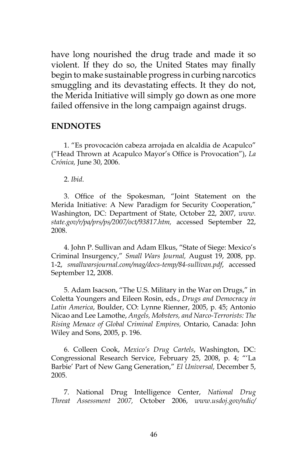have long nourished the drug trade and made it so violent. If they do so, the United States may finally begin to make sustainable progress in curbing narcotics smuggling and its devastating effects. It they do not, the Merida Initiative will simply go down as one more failed offensive in the long campaign against drugs.

#### **ENDNOTES**

1. "Es provocación cabeza arrojada en alcaldia de Acapulco" ("Head Thrown at Acapulco Mayor's Office is Provocation"), *La Crónica,* June 30, 2006.

2. *Ibid*.

3. Office of the Spokesman, "Joint Statement on the Merida Initiative: A New Paradigm for Security Cooperation," Washington, DC: Department of State, October 22, 2007, *www. state.gov/r/pa/prs/ps/2007/oct/93817.htm,* accessed September 22, 2008.

4. John P. Sullivan and Adam Elkus, "State of Siege: Mexico's Criminal Insurgency," *Small Wars Journal,* August 19, 2008, pp. 1-2, *smallwarsjournal.com/mag/docs-temp/84-sullivan.pdf*, accessed September 12, 2008.

5. Adam Isacson, "The U.S. Military in the War on Drugs," in Coletta Youngers and Eileen Rosin, eds., *Drugs and Democracy in Latin America*, Boulder, CO: Lynne Rienner, 2005, p. 45; Antonio Nicao and Lee Lamothe, *Angels, Mobsters, and Narco-Terrorists: The Rising Menace of Global Criminal Empires,* Ontario, Canada: John Wiley and Sons, 2005, p. 196.

6. Colleen Cook, *Mexico's Drug Cartels*, Washington, DC: Congressional Research Service, February 25, 2008, p. 4; "'La Barbie' Part of New Gang Generation," *El Universal,* December 5, 2005.

7. National Drug Intelligence Center, *National Drug Threat Assessment 2007,* October 2006, *www.usdoj.gov/ndic/*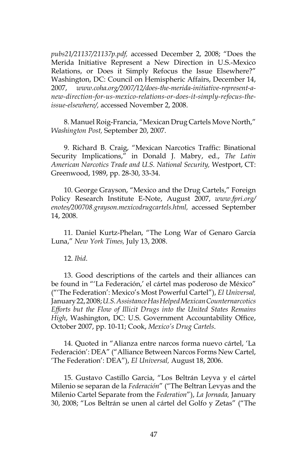*pubs21/21137/21137p.pdf,* accessed December 2, 2008; "Does the Merida Initiative Represent a New Direction in U.S.-Mexico Relations, or Does it Simply Refocus the Issue Elsewhere?" Washington, DC: Council on Hemispheric Affairs, December 14, 2007, *www.coha.org/2007/12/does-the-merida-initiative-represent-anew-direction-for-us-mexico-relations-or-does-it-simply-refocus-theissue-elsewhere/,* accessed November 2, 2008.

8. Manuel Roig-Francia, "Mexican Drug Cartels Move North," *Washington Post,* September 20, 2007.

9. Richard B. Craig, "Mexican Narcotics Traffic: Binational Security Implications," in Donald J. Mabry, ed., *The Latin American Narcotics Trade and U.S. National Security,* Westport, CT: Greenwood, 1989, pp. 28-30, 33-34.

10. George Grayson, "Mexico and the Drug Cartels," Foreign Policy Research Institute E-Note, August 2007, *www.fpri.org/ enotes/200708.grayson.mexicodrugcartels.html,* accessed September 14, 2008.

11. Daniel Kurtz-Phelan, "The Long War of Genaro García Luna," *New York Times,* July 13, 2008.

12. *Ibid*.

13. Good descriptions of the cartels and their alliances can be found in "'La Federación,' el cártel mas poderoso de México" ("'The Federation': Mexico's Most Powerful Cartel"), *El Universal,*  January 22, 2008; *U.S. Assistance Has Helped Mexican Counternarcotics Efforts but the Flow of Illicit Drugs into the United States Remains High*, Washington, DC: U.S. Government Accountability Office, October 2007, pp. 10-11; Cook, *Mexico's Drug Cartels*.

14. Quoted in "Alianza entre narcos forma nuevo cártel, 'La Federación': DEA" ("Alliance Between Narcos Forms New Cartel, 'The Federation': DEA"), *El Universal,* August 18, 2006.

15. Gustavo Castillo Garcia, "Los Beltrán Leyva y el cártel Milenio se separan de la *Federación*" ("The Beltran Levyas and the Milenio Cartel Separate from the *Federation*"), *La Jornada,* January 30, 2008; "Los Beltrán se unen al cártel del Golfo y Zetas" ("The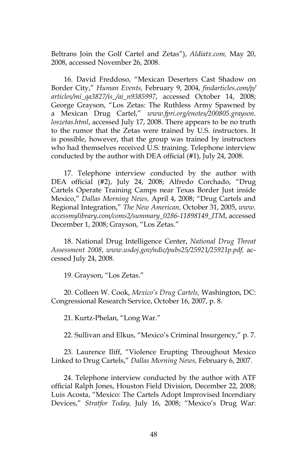Beltrans Join the Golf Cartel and Zetas"), *Aldíatx.com,* May 20, 2008, accessed November 26, 2008.

16. David Freddoso, "Mexican Deserters Cast Shadow on Border City," *Human Events,* February 9, 2004, *findarticles.com/p/ articles/mi\_qa3827/is\_/ai\_n9385997*, accessed October 14, 2008; George Grayson, "Los Zetas: The Ruthless Army Spawned by a Mexican Drug Cartel," *www.fpri.org/enotes/200805.grayson. loszetas.html*, accessed July 17, 2008. There appears to be no truth to the rumor that the Zetas were trained by U.S. instructors. It is possible, however, that the group was trained by instructors who had themselves received U.S. training. Telephone interview conducted by the author with DEA official (#1), July 24, 2008.

17. Telephone interview conducted by the author with DEA official (#2), July 24, 2008; Alfredo Corchado, "Drug Cartels Operate Training Camps near Texas Border Just inside Mexico," *Dallas Morning News,* April 4, 2008; "Drug Cartels and Regional Integration," *The New American,* October 31, 2005, *www. accessmylibrary.com/coms2/summary\_0286-11898149\_ITM*, accessed December 1, 2008; Grayson, "Los Zetas."

18. National Drug Intelligence Center, *National Drug Threat Assessment 2008*, *www.usdoj.gov/ndic/pubs25/25921/25921p.pdf,* accessed July 24, 2008.

19. Grayson, "Los Zetas."

20. Colleen W. Cook, *Mexico's Drug Cartels,* Washington, DC: Congressional Research Service, October 16, 2007, p. 8.

21. Kurtz-Phelan, "Long War."

22. Sullivan and Elkus, "Mexico's Criminal Insurgency," p. 7.

23. Laurence Iliff, "Violence Erupting Throughout Mexico Linked to Drug Cartels," *Dallas Morning News,* February 6, 2007.

24. Telephone interview conducted by the author with ATF official Ralph Jones, Houston Field Division, December 22, 2008; Luis Acosta, "Mexico: The Cartels Adopt Improvised Incendiary Devices," *Stratfor Today,* July 16, 2008; "Mexico's Drug War: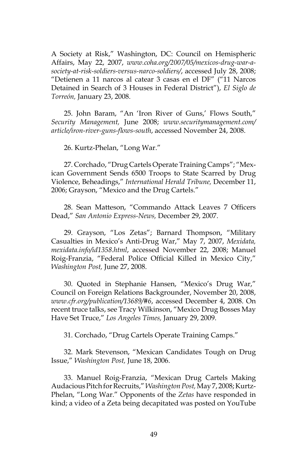A Society at Risk," Washington, DC: Council on Hemispheric Affairs, May 22, 2007, *www.coha.org/2007/05/mexicos-drug-war-asociety-at-risk-soldiers-versus-narco-soldiers/*, accessed July 28, 2008; "Detienen a 11 narcos al catear 3 casas en el DF" ("11 Narcos Detained in Search of 3 Houses in Federal District"), *El Siglo de Torreón,* January 23, 2008.

25. John Baram, "An 'Iron River of Guns,' Flows South," *Security Management,* June 2008; *www.securitymanagement.com/ article/iron-river-guns-flows-south*, accessed November 24, 2008.

26. Kurtz-Phelan, "Long War."

27. Corchado, "Drug Cartels Operate Training Camps"; "Mexican Government Sends 6500 Troops to State Scarred by Drug Violence, Beheadings," *International Herald Tribune,* December 11, 2006; Grayson, "Mexico and the Drug Cartels."

28. Sean Matteson, "Commando Attack Leaves 7 Officers Dead," *San Antonio Express-News,* December 29, 2007.

29. Grayson, "Los Zetas"; Barnard Thompson, "Military Casualties in Mexico's Anti-Drug War," May 7, 2007, *Mexidata, mexidata.info/id1358.html*, accessed November 22, 2008; Manuel Roig-Franzia, "Federal Police Official Killed in Mexico City," *Washington Post,* June 27, 2008.

30. Quoted in Stephanie Hansen, "Mexico's Drug War," Council on Foreign Relations Backgrounder, November 20, 2008, *www.cfr.org/publication/13689/#6*, accessed December 4, 2008. On recent truce talks, see Tracy Wilkinson, "Mexico Drug Bosses May Have Set Truce," *Los Angeles Times,* January 29, 2009.

31. Corchado, "Drug Cartels Operate Training Camps."

32. Mark Stevenson, "Mexican Candidates Tough on Drug Issue," *Washington Post,* June 18, 2006.

33. Manuel Roig-Franzia, "Mexican Drug Cartels Making Audacious Pitch for Recruits," *Washington Post,* May 7, 2008; Kurtz-Phelan, "Long War." Opponents of the *Zetas* have responded in kind; a video of a Zeta being decapitated was posted on YouTube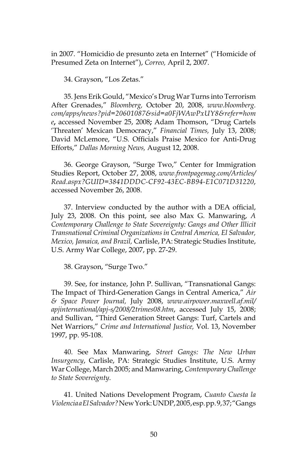in 2007. "Homicidio de presunto zeta en Internet" ("Homicide of Presumed Zeta on Internet"), *Correo,* April 2, 2007.

34. Grayson, "Los Zetas."

35. Jens Erik Gould, "Mexico's Drug War Turns into Terrorism After Grenades," *Bloomberg,* October 20, 2008, *www.bloomberg. com/apps/news?pid=20601087&sid=a0FjWAwPxUY8&refer=hom e***,** accessed November 25, 2008**;** Adam Thomson, "Drug Cartels 'Threaten' Mexican Democracy," *Financial Times,* July 13, 2008; David McLemore, "U.S. Officials Praise Mexico for Anti-Drug Efforts," *Dallas Morning News,* August 12, 2008.

36. George Grayson, "Surge Two," Center for Immigration Studies Report, October 27, 2008, *www.frontpagemag.com/Articles/ Read.aspx?GUID=3841DDDC-CF92-43EC-BB94-E1C071D31220*, accessed November 26, 2008.

37. Interview conducted by the author with a DEA official, July 23, 2008. On this point, see also Max G. Manwaring, *A Contemporary Challenge to State Sovereignty: Gangs and Other Illicit Transnational Criminal Organizations in Central America, El Salvador, Mexico, Jamaica, and Brazil,* Carlisle, PA: Strategic Studies Institute, U.S. Army War College, 2007, pp. 27-29.

38. Grayson, "Surge Two."

39. See, for instance, John P. Sullivan, "Transnational Gangs: The Impact of Third-Generation Gangs in Central America," *Air & Space Power Journal,* July 2008, *www.airpower.maxwell.af.mil/ apjinternational/apj-s/2008/2trimes08.htm*, accessed July 15, 2008; and Sullivan, "Third Generation Street Gangs: Turf, Cartels and Net Warriors," *Crime and International Justice,* Vol. 13, November 1997, pp. 95-108.

40. See Max Manwaring, *Street Gangs: The New Urban Insurgency*, Carlisle, PA: Strategic Studies Institute, U.S. Army War College, March 2005; and Manwaring, *Contemporary Challenge to State Sovereignty*.

41. United Nations Development Program, *Cuanto Cuesta la Violencia a El Salvador?* New York: UNDP, 2005, esp. pp. 9, 37; "Gangs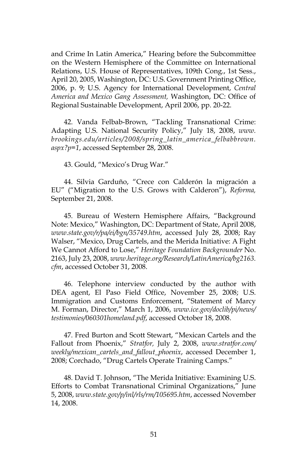and Crime In Latin America," Hearing before the Subcommittee on the Western Hemisphere of the Committee on International Relations, U.S. House of Representatives, 109th Cong., 1st Sess., April 20, 2005, Washington, DC: U.S. Government Printing Office, 2006, p. 9; U.S. Agency for International Development, *Central America and Mexico Gang Assessment,* Washington, DC: Office of Regional Sustainable Development, April 2006, pp. 20-22.

42. Vanda Felbab-Brown, "Tackling Transnational Crime: Adapting U.S. National Security Policy," July 18, 2008, *www. brookings.edu/articles/2008/spring\_latin\_america\_felbabbrown. aspx?p=1*, accessed September 28, 2008.

43. Gould, "Mexico's Drug War."

44. Silvia Garduño, "Crece con Calderón la migración a EU" ("Migration to the U.S. Grows with Calderon"), *Reforma,*  September 21, 2008.

45. Bureau of Western Hemisphere Affairs, "Background Note: Mexico," Washington, DC: Department of State, April 2008, *www.state.gov/r/pa/ei/bgn/35749.htm*, accessed July 28, 2008; Ray Walser, "Mexico, Drug Cartels, and the Merida Initiative: A Fight We Cannot Afford to Lose," *Heritage Foundation Backgrounder* No. 2163, July 23, 2008, *www.heritage.org/Research/LatinAmerica/bg2163. cfm*, accessed October 31, 2008.

46. Telephone interview conducted by the author with DEA agent, El Paso Field Office, November 25, 2008; U.S. Immigration and Customs Enforcement, "Statement of Marcy M. Forman, Director," March 1, 2006, *www.ice.gov/doclib/pi/news/ testimonies/060301homeland.pdf*, accessed October 18, 2008.

47. Fred Burton and Scott Stewart, "Mexican Cartels and the Fallout from Phoenix," *Stratfor,* July 2, 2008, *www.stratfor.com/ weekly/mexican\_cartels\_and\_fallout\_phoenix*, accessed December 1, 2008; Corchado, "Drug Cartels Operate Training Camps."

48. David T. Johnson, "The Merida Initiative: Examining U.S. Efforts to Combat Transnational Criminal Organizations," June 5, 2008, *www.state.gov/p/inl/rls/rm/105695.htm*, accessed November 14, 2008.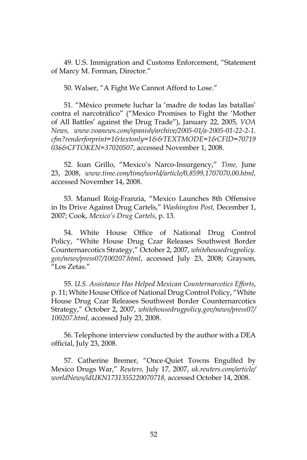49. U.S. Immigration and Customs Enforcement, "Statement of Marcy M. Forman, Director."

50. Walser, "A Fight We Cannot Afford to Lose."

51. "México promete luchar la 'madre de todas las batallas' contra el narcotráfico" ("Mexico Promises to Fight the 'Mother of All Battles' against the Drug Trade"), January 22, 2005, *VOA News, www.voanews.com/spanish/archive/2005-01/a-2005-01-22-2-1. cfm?renderforprint=1&textonly=1&&TEXTMODE=1&CFID=70719 036&CFTOKEN=37020507*, accessed November 1, 2008.

52. Ioan Grillo, "Mexico's Narco-Insurgency," *Time,* June 23, 2008, *www.time.com/time/world/article/0,8599,1707070,00.html,*  accessed November 14, 2008.

53. Manuel Roig-Franzia, "Mexico Launches 8th Offensive in Its Drive Against Drug Cartels," *Washington Post,* December 1, 2007; Cook, *Mexico's Drug Cartels*, p. 13.

54. White House Office of National Drug Control Policy, "White House Drug Czar Releases Southwest Border Counternarcotics Strategy," October 2, 2007, *whitehousedrugpolicy. gov/news/press07/100207.html*, accessed July 23, 2008; Grayson, "Los Zetas."

55. *U.S. Assistance Has Helped Mexican Counternarcotics Efforts*, p. 11; White House Office of National Drug Control Policy, "White House Drug Czar Releases Southwest Border Counternarcotics Strategy," October 2, 2007, *whitehousedrugpolicy.gov/news/press07/ 100207.html,* accessed July 23, 2008.

56. Telephone interview conducted by the author with a DEA official, July 23, 2008.

57. Catherine Bremer, "Once-Quiet Towns Engulfed by Mexico Drugs War," *Reuters,* July 17, 2007, *uk.reuters.com/article/ worldNews/idUKN1731355220070718,* accessed October 14, 2008.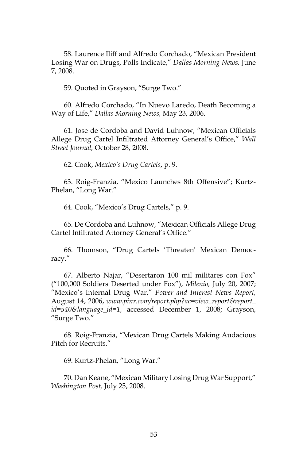58. Laurence Iliff and Alfredo Corchado, "Mexican President Losing War on Drugs, Polls Indicate," *Dallas Morning News,* June 7, 2008.

59. Quoted in Grayson, "Surge Two."

60. Alfredo Corchado, "In Nuevo Laredo, Death Becoming a Way of Life," *Dallas Morning News,* May 23, 2006.

61. Jose de Cordoba and David Luhnow, "Mexican Officials Allege Drug Cartel Infiltrated Attorney General's Office," *Wall Street Journal,* October 28, 2008.

62. Cook, *Mexico's Drug Cartels*, p. 9.

63. Roig-Franzia, "Mexico Launches 8th Offensive"; Kurtz-Phelan, "Long War."

64. Cook, "Mexico's Drug Cartels," p. 9.

65. De Cordoba and Luhnow, "Mexican Officials Allege Drug Cartel Infiltrated Attorney General's Office."

66. Thomson, "Drug Cartels 'Threaten' Mexican Democracy."

67. Alberto Najar, "Desertaron 100 mil militares con Fox" ("100,000 Soldiers Deserted under Fox"), *Milenio,* July 20, 2007; "Mexico's Internal Drug War," *Power and Interest News Report,*  August 14, 2006, *www.pinr.com/report.php?ac=view\_report&report\_ id=540&language\_id=1*, accessed December 1, 2008; Grayson, "Surge Two."

68. Roig-Franzia, "Mexican Drug Cartels Making Audacious Pitch for Recruits."

69. Kurtz-Phelan, "Long War."

70. Dan Keane, "Mexican Military Losing Drug War Support," *Washington Post,* July 25, 2008.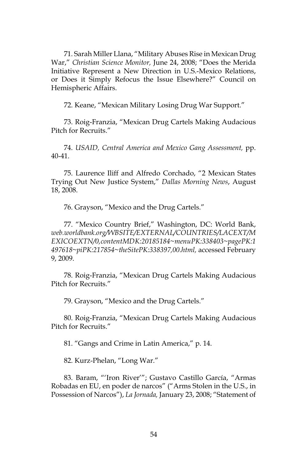71. Sarah Miller Llana, "Military Abuses Rise in Mexican Drug War," *Christian Science Monitor,* June 24, 2008; "Does the Merida Initiative Represent a New Direction in U.S.-Mexico Relations, or Does it Simply Refocus the Issue Elsewhere?" Council on Hemispheric Affairs.

72. Keane, "Mexican Military Losing Drug War Support."

73. Roig-Franzia, "Mexican Drug Cartels Making Audacious Pitch for Recruits."

74. *USAID, Central America and Mexico Gang Assessment,* pp. 40-41.

75. Laurence Iliff and Alfredo Corchado, "2 Mexican States Trying Out New Justice System," *Dallas Morning News*, August 18, 2008.

76. Grayson, "Mexico and the Drug Cartels."

77. "Mexico Country Brief," Washington, DC: World Bank, *web.worldbank.org/WBSITE/EXTERNAL/COUNTRIES/LACEXT/M EXICOEXTN/0,contentMDK:20185184~menuPK:338403~pagePK:1 497618~piPK:217854~theSitePK:338397,00.html,* accessed February 9, 2009.

78. Roig-Franzia, "Mexican Drug Cartels Making Audacious Pitch for Recruits."

79. Grayson, "Mexico and the Drug Cartels."

80. Roig-Franzia, "Mexican Drug Cartels Making Audacious Pitch for Recruits."

81. "Gangs and Crime in Latin America," p. 14.

82. Kurz-Phelan, "Long War."

83. Baram, "'Iron River'"; Gustavo Castillo García, "Armas Robadas en EU, en poder de narcos" ("Arms Stolen in the U.S., in Possession of Narcos"), *La Jornada,* January 23, 2008; "Statement of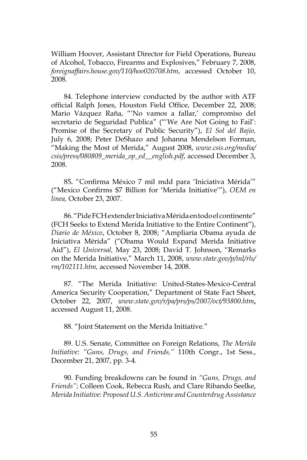William Hoover, Assistant Director for Field Operations, Bureau of Alcohol, Tobacco, Firearms and Explosives," February 7, 2008, *foreignaffairs.house.gov/110/hoo020708.htm*, accessed October 10, 2008.

84. Telephone interview conducted by the author with ATF official Ralph Jones, Houston Field Office, December 22, 2008; Mario Vázquez Raña, "'No vamos a fallar,' compromiso del secretario de Seguridad Publica" ("'We Are Not Going to Fail': Promise of the Secretary of Public Security"), *El Sol del Bajío,*  July 6, 2008; Peter DeShazo and Johanna Mendelson Forman, "Making the Most of Merida," August 2008, *www.csis.org/media/ csis/press/080809\_merida\_op\_ed\_\_english.pdf*, accessed December 3, 2008.

85**.** "Confirma México 7 mil mdd para 'Iniciativa Mérida'" ("Mexico Confirms \$7 Billion for 'Merida Initiative'"), *OEM en linea,* October 23, 2007.

86. "Pide FCH extender Iniciativa Mérida en todo el continente" (FCH Seeks to Extend Merida Initiative to the Entire Continent"), *Diario de México*, October 8, 2008; "Ampliaría Obama ayuda de Iniciativa Mérida" ("Obama Would Expand Merida Initiative Aid"), *El Universal,* May 23, 2008; David T. Johnson, "Remarks on the Merida Initiative," March 11, 2008, *www.state.gov/p/inl/rls/ rm/102111.htm,* accessed November 14, 2008.

87. "The Merida Initiative: United-States-Mexico-Central America Security Cooperation," Department of State Fact Sheet, October 22, 2007, *www.state.gov/r/pa/prs/ps/2007/oct/93800.htm***,**  accessed August 11, 2008.

88. "Joint Statement on the Merida Initiative."

89. U.S. Senate, Committee on Foreign Relations, *The Merida Initiative: "Guns, Drugs, and Friends,"* 110th Congr., 1st Sess., December 21, 2007, pp. 3-4.

90. Funding breakdowns can be found in *"Guns, Drugs, and Friends"*; Colleen Cook, Rebecca Rush, and Clare Ribando Seelke, *Merida Initiative: Proposed U.S. Anticrime and Counterdrug Assistance*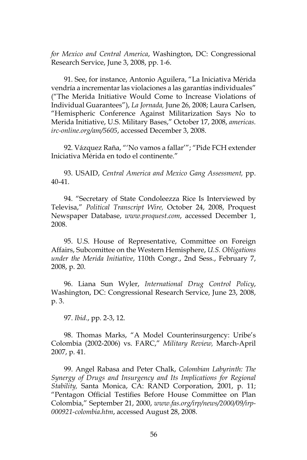*for Mexico and Central America*, Washington, DC: Congressional Research Service, June 3, 2008, pp. 1-6.

91. See, for instance, Antonio Aguilera, "La Iniciativa Mérida vendría a incrementar las violaciones a las garantías individuales" ("The Merida Initiative Would Come to Increase Violations of Individual Guarantees"), *La Jornada,* June 26, 2008; Laura Carlsen, "Hemispheric Conference Against Militarization Says No to Merida Initiative, U.S. Military Bases," October 17, 2008, *americas. irc-online.org/am/5605*, accessed December 3, 2008.

92. Vázquez Raña, "'No vamos a fallar'"; "Pide FCH extender Iniciativa Mérida en todo el continente."

93. USAID, *Central America and Mexico Gang Assessment,* pp. 40-41.

94. "Secretary of State Condoleezza Rice Is Interviewed by Televisa," *Political Transcript Wire,* October 24, 2008, Proquest Newspaper Database, *www.proquest.com*, accessed December 1, 2008.

95. U.S. House of Representative, Committee on Foreign Affairs, Subcomittee on the Western Hemisphere, *U.S. Obligations under the Merida Initiative*, 110th Congr., 2nd Sess., February 7, 2008, p. 20.

96. Liana Sun Wyler, *International Drug Control Policy*, Washington, DC: Congressional Research Service, June 23, 2008, p. 3.

97. *Ibid*., pp. 2-3, 12.

98. Thomas Marks, "A Model Counterinsurgency: Uribe's Colombia (2002-2006) vs. FARC," *Military Review,* March-April 2007, p. 41.

99. Angel Rabasa and Peter Chalk, *Colombian Labyrinth: The Synergy of Drugs and Insurgency and Its Implications for Regional Stability,* Santa Monica, CA: RAND Corporation, 2001, p. 11; "Pentagon Official Testifies Before House Committee on Plan Colombia," September 21, 2000, *www.fas.org/irp/news/2000/09/irp-000921-colombia.htm*, accessed August 28, 2008.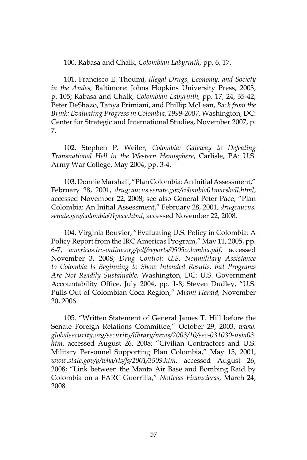100. Rabasa and Chalk, *Colombian Labyrinth,* pp. 6, 17.

101. Francisco E. Thoumi, *Illegal Drugs, Economy, and Society in the Andes,* Baltimore: Johns Hopkins University Press, 2003, p. 105; Rabasa and Chalk, *Colombian Labyrinth,* pp. 17, 24, 35-42; Peter DeShazo, Tanya Primiani, and Phillip McLean, *Back from the Brink: Evaluating Progress in Colombia, 1999-2007,* Washington, DC: Center for Strategic and International Studies, November 2007, p. 7.

102. Stephen P. Weiler, *Colombia: Gateway to Defeating Transnational Hell in the Western Hemisphere*, Carlisle, PA: U.S. Army War College, May 2004, pp. 3-4.

103. Donnie Marshall, "Plan Colombia: An Initial Assessment," February 28, 2001, *drugcaucus.senate.gov/colombia01marshall.html*, accessed November 22, 2008; see also General Peter Pace, "Plan Colombia: An Initial Assessment," February 28, 2001, *drugcaucus. senate.gov/colombia01pace.html*, accessed November 22, 2008.

104. Virginia Bouvier, "Evaluating U.S. Policy in Colombia: A Policy Report from the IRC Americas Program," May 11, 2005, pp. 6-7, *americas.irc-online.org/pdf/reports/0505colombia.pdf*, accessed November 3, 2008; *Drug Control: U.S. Nonmilitary Assistance to Colombia Is Beginning to Show Intended Results, but Programs Are Not Readily Sustainable*, Washington, DC: U.S. Government Accountability Office, July 2004, pp. 1-8; Steven Dudley, "U.S. Pulls Out of Colombian Coca Region," *Miami Herald,* November 20, 2006.

105. "Written Statement of General James T. Hill before the Senate Foreign Relations Committee," October 29, 2003, *www. globalsecurity.org/security/library/news/2003/10/sec-031030-usia03. htm*, accessed August 26, 2008; "Civilian Contractors and U.S. Military Personnel Supporting Plan Colombia," May 15, 2001, *www.state.gov/p/wha/rls/fs/2001/3509.htm*, accessed August 26, 2008; "Link between the Manta Air Base and Bombing Raid by Colombia on a FARC Guerrilla," *Noticias Financieras,* March 24, 2008.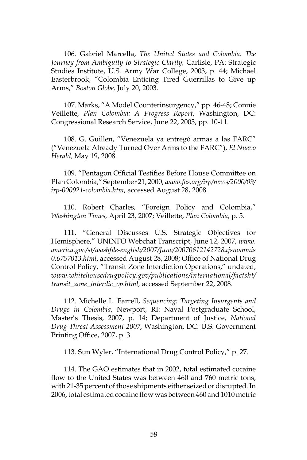106. Gabriel Marcella, *The United States and Colombia: The Journey from Ambiguity to Strategic Clarity,* Carlisle, PA: Strategic Studies Institute, U.S. Army War College, 2003, p. 44; Michael Easterbrook, "Colombia Enticing Tired Guerrillas to Give up Arms," *Boston Globe,* July 20, 2003.

107. Marks, "A Model Counterinsurgency," pp. 46-48; Connie Veillette, *Plan Colombia: A Progress Report*, Washington, DC: Congressional Research Service, June 22, 2005, pp. 10-11.

108. G. Guillen, "Venezuela ya entregó armas a las FARC" ("Venezuela Already Turned Over Arms to the FARC"), *El Nuevo Herald,* May 19, 2008.

109. "Pentagon Official Testifies Before House Committee on Plan Colombia," September 21, 2000, *www.fas.org/irp/news/2000/09/ irp-000921-colombia.htm*, accessed August 28, 2008.

110. Robert Charles, "Foreign Policy and Colombia," *Washington Times,* April 23, 2007; Veillette, *Plan Colombia*, p. 5.

**111.** "General Discusses U.S. Strategic Objectives for Hemisphere," UNINFO Webchat Transcript, June 12, 2007, *www. america.gov/st/washfile-english/2007/June/20070612142728xjsnommis 0.6757013.html*, accessed August 28, 2008; Office of National Drug Control Policy, "Transit Zone Interdiction Operations," undated, *www.whitehousedrugpolicy.gov/publications/international/factsht/ transit\_zone\_interdic\_op.html,* accessed September 22, 2008.

112. Michelle L. Farrell, *Sequencing: Targeting Insurgents and Drugs in Colombia*, Newport, RI: Naval Postgraduate School, Master's Thesis, 2007, p. 14; Department of Justice, *National Drug Threat Assessment 2007*, Washington, DC: U.S. Government Printing Office, 2007, p. 3.

113. Sun Wyler, "International Drug Control Policy," p. 27.

114. The GAO estimates that in 2002, total estimated cocaine flow to the United States was between 460 and 760 metric tons, with 21-35 percent of those shipments either seized or disrupted. In 2006, total estimated cocaine flow was between 460 and 1010 metric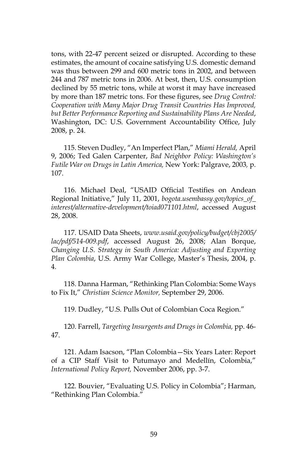tons, with 22-47 percent seized or disrupted. According to these estimates, the amount of cocaine satisfying U.S. domestic demand was thus between 299 and 600 metric tons in 2002, and between 244 and 787 metric tons in 2006. At best, then, U.S. consumption declined by 55 metric tons, while at worst it may have increased by more than 187 metric tons. For these figures, see *Drug Control: Cooperation with Many Major Drug Transit Countries Has Improved, but Better Performance Reporting and Sustainability Plans Are Needed*, Washington, DC: U.S. Government Accountability Office, July 2008, p. 24.

115. Steven Dudley, "An Imperfect Plan," *Miami Herald,* April 9, 2006; Ted Galen Carpenter, *Bad Neighbor Policy: Washington's Futile War on Drugs in Latin America,* New York: Palgrave, 2003*,* p. 107.

116. Michael Deal, "USAID Official Testifies on Andean Regional Initiative," July 11, 2001, *bogota.usembassy.gov/topics\_of\_ interest/alternative-development/toiad071101.html*, accessed August 28, 2008.

117. USAID Data Sheets, *www.usaid.gov/policy/budget/cbj2005/ lac/pdf/514-009.pdf*, accessed August 26, 2008; Alan Borque, *Changing U.S. Strategy in South America: Adjusting and Exporting Plan Colombia*, U.S. Army War College, Master's Thesis, 2004, p. 4.

118. Danna Harman, "Rethinking Plan Colombia: Some Ways to Fix It," *Christian Science Monitor,* September 29, 2006.

119. Dudley, "U.S. Pulls Out of Colombian Coca Region."

120. Farrell, *Targeting Insurgents and Drugs in Colombia,* pp. 46- 47.

121. Adam Isacson, "Plan Colombia—Six Years Later: Report of a CIP Staff Visit to Putumayo and Medellín, Colombia," *International Policy Report,* November 2006, pp. 3-7.

122. Bouvier, "Evaluating U.S. Policy in Colombia"; Harman, "Rethinking Plan Colombia."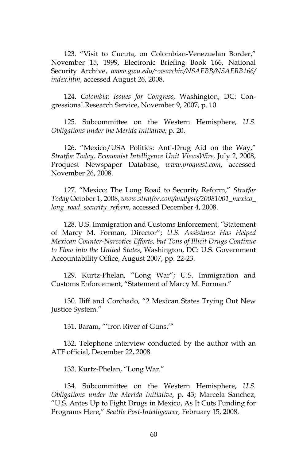123. "Visit to Cucuta, on Colombian-Venezuelan Border," November 15, 1999, Electronic Briefing Book 166, National Security Archive, *www.gwu.edu/~nsarchiv/NSAEBB/NSAEBB166/ index.htm*, accessed August 26, 2008.

124. *Colombia: Issues for Congress,* Washington, DC: Congressional Research Service, November 9, 2007, p. 10.

125. Subcommittee on the Western Hemisphere, *U.S. Obligations under the Merida Initiative,* p. 20.

126. "Mexico/USA Politics: Anti-Drug Aid on the Way," *Stratfor Today, Economist Intelligence Unit ViewsWire,* July 2, 2008, Proquest Newspaper Database, *www.proquest.com*, accessed November 26, 2008.

127. "Mexico: The Long Road to Security Reform," *Stratfor Today* October 1, 2008, *www.stratfor.com/analysis/20081001\_mexico\_ long\_road\_security\_reform*, accessed December 4, 2008.

128. U.S. Immigration and Customs Enforcement, "Statement of Marcy M. Forman, Director"; *U.S. Assistance Has Helped Mexican Counter-Narcotics Efforts, but Tons of Illicit Drugs Continue to Flow into the United States*, Washington, DC: U.S. Government Accountability Office, August 2007, pp. 22-23.

129. Kurtz-Phelan, "Long War"; U.S. Immigration and Customs Enforcement, "Statement of Marcy M. Forman."

130. Iliff and Corchado, "2 Mexican States Trying Out New Justice System."

131. Baram, "'Iron River of Guns.'"

132. Telephone interview conducted by the author with an ATF official, December 22, 2008.

133. Kurtz-Phelan, "Long War."

134. Subcommittee on the Western Hemisphere, *U.S. Obligations under the Merida Initiative*, p. 43; Marcela Sanchez, "U.S. Antes Up to Fight Drugs in Mexico, As It Cuts Funding for Programs Here," *Seattle Post-Intelligencer,* February 15, 2008.